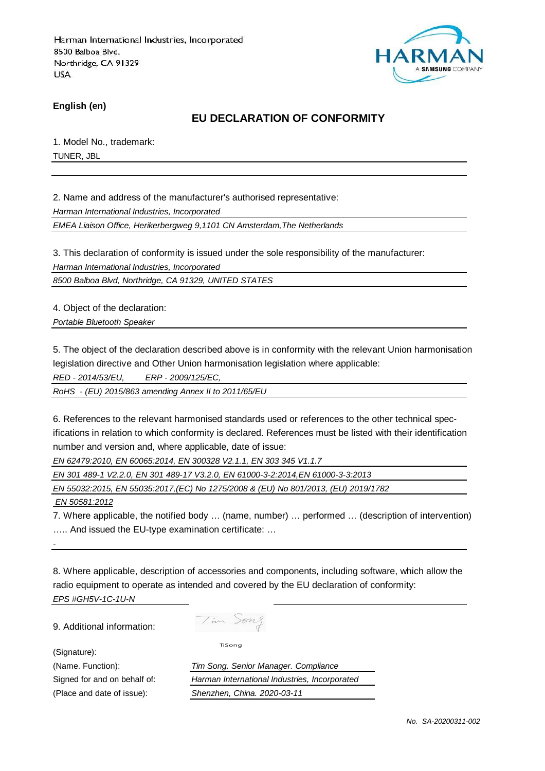

**English (en)**

# **EU DECLARATION OF CONFORMITY**

1. Model No., trademark: TUNER, JBL

2. Name and address of the manufacturer's authorised representative:

Harman International Industries, Incorporated

EMEA Liaison Office, Herikerbergweg 9,1101 CN Amsterdam,The Netherlands

3. This declaration of conformity is issued under the sole responsibility of the manufacturer:

Harman International Industries, Incorporated

8500 Balboa Blvd, Northridge, CA 91329, UNITED STATES

4. Object of the declaration:

Portable Bluetooth Speaker

5. The object of the declaration described above is in conformity with the relevant Union harmonisation legislation directive and Other Union harmonisation legislation where applicable:

RED - 2014/53/EU, ERP - 2009/125/EC,

RoHS - (EU) 2015/863 amending Annex II to 2011/65/EU

6. References to the relevant harmonised standards used or references to the other technical specifications in relation to which conformity is declared. References must be listed with their identification number and version and, where applicable, date of issue:

EN 62479:2010, EN 60065:2014, EN 300328 V2.1.1, EN 303 345 V1.1.7

EN 301 489-1 V2.2.0, EN 301 489-17 V3.2.0, EN 61000-3-2:2014,EN 61000-3-3:2013

EN 55032:2015, EN 55035:2017,(EC) No 1275/2008 & (EU) No 801/2013, (EU) 2019/1782

EN 50581:2012

-

7. Where applicable, the notified body … (name, number) … performed … (description of intervention) ….. And issued the EU-type examination certificate: …

8. Where applicable, description of accessories and components, including software, which allow the radio equipment to operate as intended and covered by the EU declaration of conformity: EPS #GH5V-1C-1U-N

9. Additional information:

Tim Song

TiSong

(Signature):

(Name. Function): Tim Song. Senior Manager. Compliance Signed for and on behalf of: Harman International Industries, Incorporated (Place and date of issue): Shenzhen, China. 2020-03-11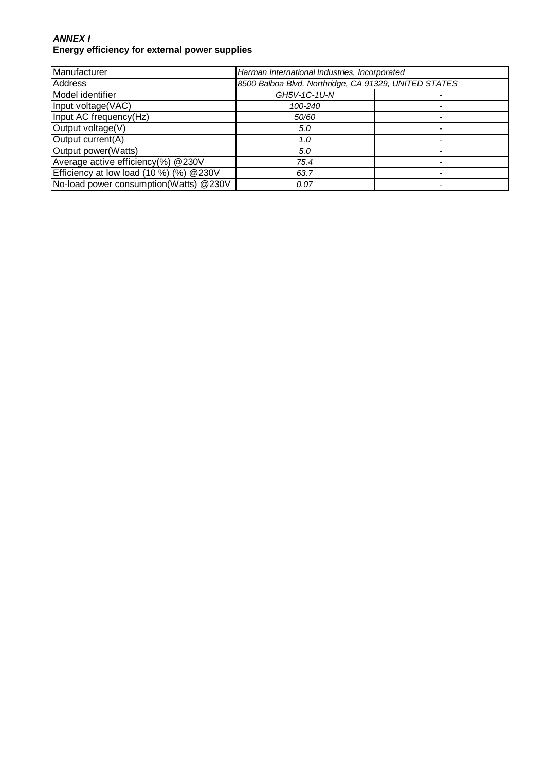#### **ANNEX I Energy efficiency for external power supplies**

| Manufacturer                                 | Harman International Industries, Incorporated         |  |
|----------------------------------------------|-------------------------------------------------------|--|
| <b>Address</b>                               | 8500 Balboa Blvd, Northridge, CA 91329, UNITED STATES |  |
| Model identifier                             | GH5V-1C-1U-N                                          |  |
| Input voltage(VAC)                           | 100-240                                               |  |
| Input AC frequency(Hz)                       | 50/60                                                 |  |
| Output voltage(V)                            | 5.0                                                   |  |
| Output current(A)                            | 1.0                                                   |  |
| Output power(Watts)                          | 5.0                                                   |  |
| Average active efficiency(%) @230V           | 75.4                                                  |  |
| Efficiency at low load $(10\%)$ $(%)$ @ 230V | 63.7                                                  |  |
| No-load power consumption(Watts) @230V       | 0.07                                                  |  |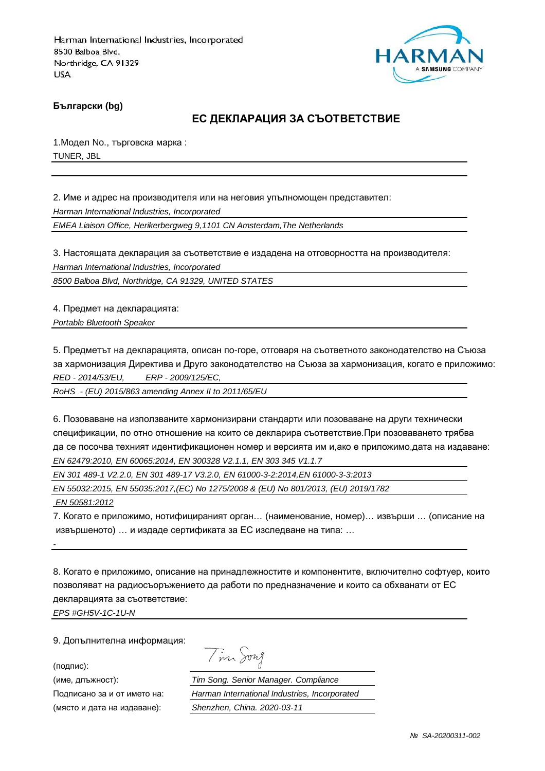

**Български (bg)**

# **ЕС ДЕКЛАРАЦИЯ ЗА СЪОТВЕТСТВИЕ**

1.Модел No., търговска марка : TUNER, JBL

2. Име и адрес на производителя или на неговия упълномощен представител: Harman International Industries, Incorporated EMEA Liaison Office, Herikerbergweg 9,1101 CN Amsterdam,The Netherlands

3. Настоящата декларация за съответствие е издадена на отговорността на производителя: Harman International Industries, Incorporated

8500 Balboa Blvd, Northridge, CA 91329, UNITED STATES

4. Предмет на декларацията: Portable Bluetooth Speaker

5. Предметът на декларацията, описан по-горе, отговаря на съответното законодателство на Съюза за хармонизация Директива и Друго законодателство на Съюза за хармонизация, когато е приложимо: RED - 2014/53/EU, ERP - 2009/125/EC,

RoHS - (EU) 2015/863 amending Annex II to 2011/65/EU

6. Позоваване на използваните хармонизирани стандарти или позоваване на други технически спецификации, по отно отношение на които се декларира съответствие.При позоваването трябва да се посочва техният идентификационен номер и версията им и,ако е приложимо,дата на издаване: EN 62479:2010, EN 60065:2014, EN 300328 V2.1.1, EN 303 345 V1.1.7

EN 301 489-1 V2.2.0, EN 301 489-17 V3.2.0, EN 61000-3-2:2014,EN 61000-3-3:2013

EN 55032:2015, EN 55035:2017,(EC) No 1275/2008 & (EU) No 801/2013, (EU) 2019/1782

EN 50581:2012

-

7. Когато е приложимо, нотифицираният орган… (наименование, номер)… извърши … (описание на извършеното) … и издаде сертификата за ЕС изследване на типа: …

8. Когато е приложимо, описание на принадлежностите и компонентите, включително софтуер, които позволяват на радиосъоръжението да работи по предназначение и които са обхванати от ЕС декларацията за съответствие:

EPS #GH5V-1C-1U-N

9. Допълнителна информация:

(подпис):

(място и дата на издаване): Shenzhen, China. 2020-03-11

Tim Song

(име, длъжност): Tim Song. Senior Manager. Compliance Подписано за и от името на: Harman International Industries, Incorporated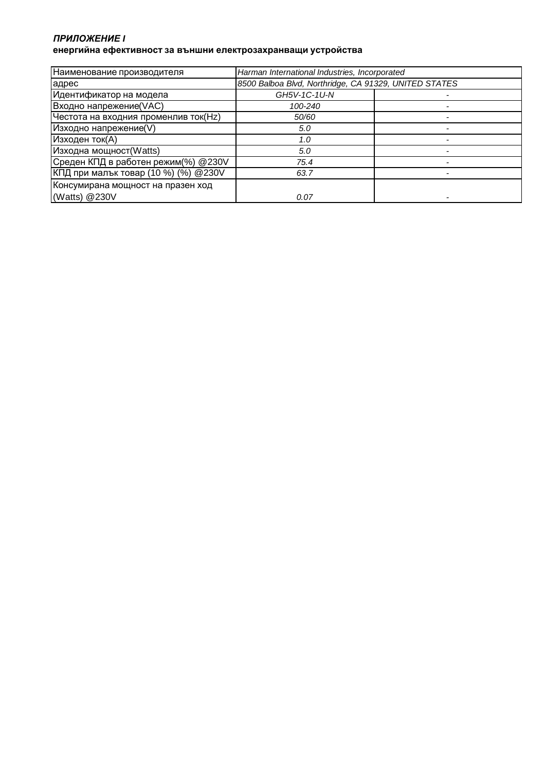#### *ПРИЛОЖЕНИЕ* **I енергийна ефективност за външни електрозахранващи устройства**

| Наименование производителя           | Harman International Industries, Incorporated         |  |
|--------------------------------------|-------------------------------------------------------|--|
| адрес                                | 8500 Balboa Blvd, Northridge, CA 91329, UNITED STATES |  |
| Идентификатор на модела              | GH5V-1C-1U-N                                          |  |
| Входно напрежение(VAC)               | 100-240                                               |  |
| Честота на входния променлив ток(Hz) | 50/60                                                 |  |
| Изходно напрежение(V)                | 5.0                                                   |  |
| Изходен ток(А)                       | 1.0                                                   |  |
| Изходна мощност(Watts)               | 5.0                                                   |  |
| Среден КПД в работен режим(%) @230V  | 75.4                                                  |  |
| КПД при малък товар (10 %) (%) @230V | 63.7                                                  |  |
| Консумирана мощност на празен ход    |                                                       |  |
| (Watts) @230V                        | 0.07                                                  |  |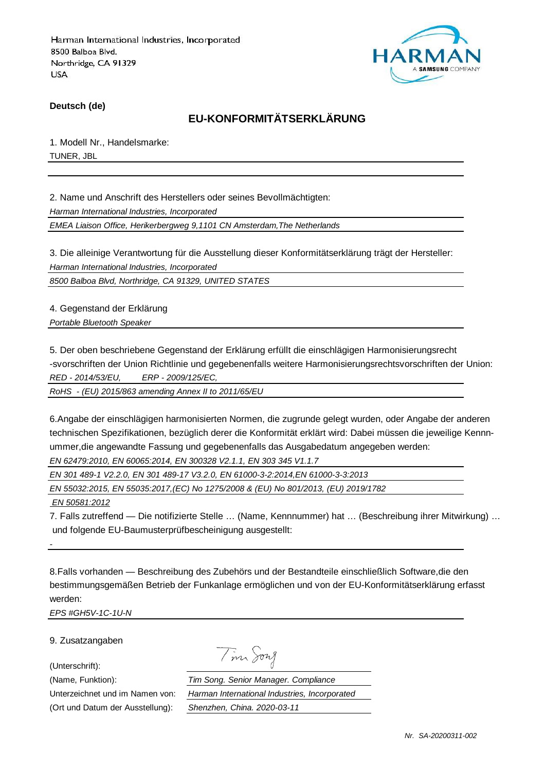

**Deutsch (de)**

# **EU-KONFORMITÄTSERKLÄRUNG**

1. Modell Nr., Handelsmarke: TUNER, JBL

2. Name und Anschrift des Herstellers oder seines Bevollmächtigten: Harman International Industries, Incorporated EMEA Liaison Office, Herikerbergweg 9,1101 CN Amsterdam,The Netherlands

3. Die alleinige Verantwortung für die Ausstellung dieser Konformitätserklärung trägt der Hersteller: Harman International Industries, Incorporated

8500 Balboa Blvd, Northridge, CA 91329, UNITED STATES

4. Gegenstand der Erklärung Portable Bluetooth Speaker

5. Der oben beschriebene Gegenstand der Erklärung erfüllt die einschlägigen Harmonisierungsrecht -svorschriften der Union Richtlinie und gegebenenfalls weitere Harmonisierungsrechtsvorschriften der Union: RED - 2014/53/EU, ERP - 2009/125/EC,

RoHS - (EU) 2015/863 amending Annex II to 2011/65/EU

6.Angabe der einschlägigen harmonisierten Normen, die zugrunde gelegt wurden, oder Angabe der anderen technischen Spezifikationen, bezüglich derer die Konformität erklärt wird: Dabei müssen die jeweilige Kennnummer,die angewandte Fassung und gegebenenfalls das Ausgabedatum angegeben werden: EN 62479:2010, EN 60065:2014, EN 300328 V2.1.1, EN 303 345 V1.1.7

EN 301 489-1 V2.2.0, EN 301 489-17 V3.2.0, EN 61000-3-2:2014,EN 61000-3-3:2013

EN 55032:2015, EN 55035:2017,(EC) No 1275/2008 & (EU) No 801/2013, (EU) 2019/1782

EN 50581:2012

-

7. Falls zutreffend — Die notifizierte Stelle … (Name, Kennnummer) hat … (Beschreibung ihrer Mitwirkung) … und folgende EU-Baumusterprüfbescheinigung ausgestellt:

8.Falls vorhanden — Beschreibung des Zubehörs und der Bestandteile einschließlich Software,die den bestimmungsgemäßen Betrieb der Funkanlage ermöglichen und von der EU-Konformitätserklärung erfasst werden:

EPS #GH5V-1C-1U-N

9. Zusatzangaben

(Unterschrift):

Tim Song

(Name, Funktion): Tim Song. Senior Manager. Compliance Unterzeichnet und im Namen von: Harman International Industries, Incorporated (Ort und Datum der Ausstellung): Shenzhen, China. 2020-03-11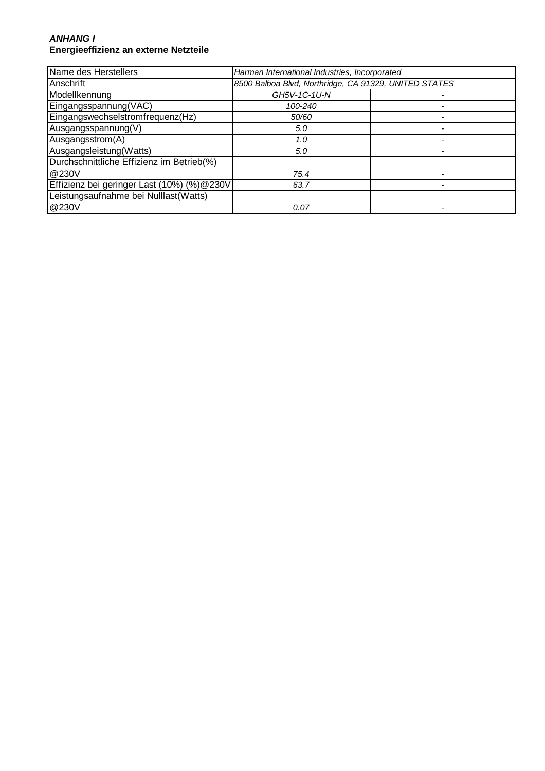#### **ANHANG I Energieeffizienz an externe Netzteile**

| Name des Herstellers                       | Harman International Industries, Incorporated         |  |
|--------------------------------------------|-------------------------------------------------------|--|
| Anschrift                                  | 8500 Balboa Blvd, Northridge, CA 91329, UNITED STATES |  |
| Modellkennung                              | GH5V-1C-1U-N                                          |  |
| Eingangsspannung(VAC)                      | 100-240                                               |  |
| Eingangswechselstromfrequenz(Hz)           | 50/60                                                 |  |
| Ausgangsspannung(V)                        | 5.0                                                   |  |
| Ausgangsstrom(A)                           | 1.0                                                   |  |
| Ausgangsleistung(Watts)                    | 5.0                                                   |  |
| Durchschnittliche Effizienz im Betrieb(%)  |                                                       |  |
| @230V                                      | 75.4                                                  |  |
| Effizienz bei geringer Last (10%) (%)@230V | 63.7                                                  |  |
| Leistungsaufnahme bei Nulllast(Watts)      |                                                       |  |
| @230V                                      | 0.07                                                  |  |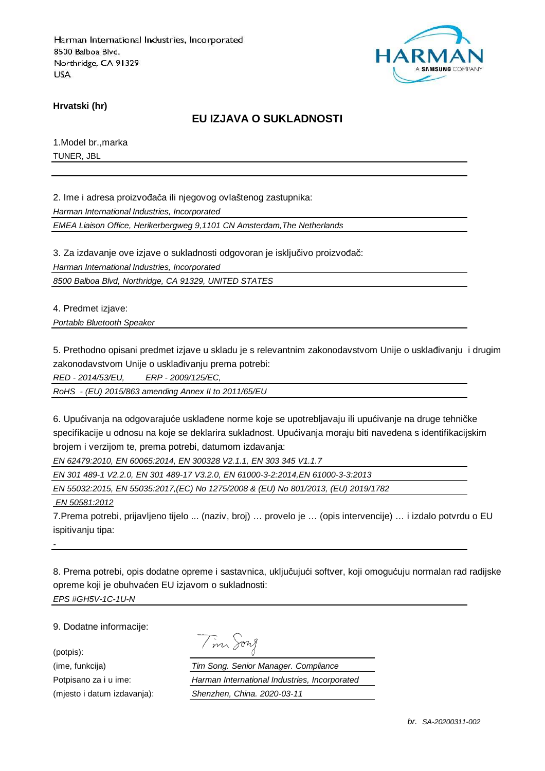

**Hrvatski (hr)**

### **EU IZJAVA O SUKLADNOSTI**

1.Model br.,marka TUNER, JBL

2. Ime i adresa proizvođača ili njegovog ovlaštenog zastupnika:

Harman International Industries, Incorporated

EMEA Liaison Office, Herikerbergweg 9,1101 CN Amsterdam,The Netherlands

3. Za izdavanje ove izjave o sukladnosti odgovoran je isključivo proizvođač:

Harman International Industries, Incorporated

8500 Balboa Blvd, Northridge, CA 91329, UNITED STATES

4. Predmet izjave:

Portable Bluetooth Speaker

5. Prethodno opisani predmet izjave u skladu je s relevantnim zakonodavstvom Unije o usklađivanju i drugim zakonodavstvom Unije o usklađivanju prema potrebi:

RED - 2014/53/EU, ERP - 2009/125/EC,

RoHS - (EU) 2015/863 amending Annex II to 2011/65/EU

6. Upućivanja na odgovarajuće usklađene norme koje se upotrebljavaju ili upućivanje na druge tehničke specifikacije u odnosu na koje se deklarira sukladnost. Upućivanja moraju biti navedena s identifikacijskim brojem i verzijom te, prema potrebi, datumom izdavanja:

EN 62479:2010, EN 60065:2014, EN 300328 V2.1.1, EN 303 345 V1.1.7

EN 301 489-1 V2.2.0, EN 301 489-17 V3.2.0, EN 61000-3-2:2014,EN 61000-3-3:2013

EN 55032:2015, EN 55035:2017,(EC) No 1275/2008 & (EU) No 801/2013, (EU) 2019/1782

EN 50581:2012

7.Prema potrebi, prijavljeno tijelo ... (naziv, broj) … provelo je … (opis intervencije) … i izdalo potvrdu o EU ispitivanju tipa:

8. Prema potrebi, opis dodatne opreme i sastavnica, uključujući softver, koji omogućuju normalan rad radijske opreme koji je obuhvaćen EU izjavom o sukladnosti: EPS #GH5V-1C-1U-N

9. Dodatne informacije:

(potpis):

-

| $\mathcal{A}$ | $1177$ $\lambda$ |
|---------------|------------------|
|               |                  |

(ime, funkcija) Tim Song. Senior Manager. Compliance Potpisano za i u ime: Harman International Industries, Incorporated (mjesto i datum izdavanja): Shenzhen, China. 2020-03-11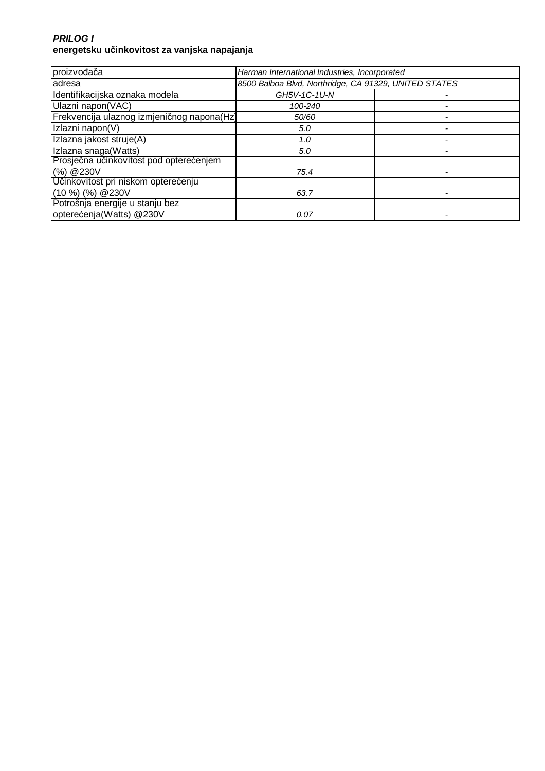### **PRILOG I energetsku učinkovitost za vanjska napajanja**

| proizvođača                                | Harman International Industries, Incorporated         |  |
|--------------------------------------------|-------------------------------------------------------|--|
| adresa                                     | 8500 Balboa Blvd, Northridge, CA 91329, UNITED STATES |  |
| Identifikacijska oznaka modela             | GH5V-1C-1U-N                                          |  |
| Ulazni napon(VAC)                          | 100-240                                               |  |
| Frekvencija ulaznog izmjeničnog napona(Hz) | 50/60                                                 |  |
| Izlazni napon(V)                           | 5.0                                                   |  |
| Izlazna jakost struje(A)                   | 1.0                                                   |  |
| Izlazna snaga(Watts)                       | 5.0                                                   |  |
| Prosječna učinkovitost pod opterećenjem    |                                                       |  |
| (%) @ 230V                                 | 75.4                                                  |  |
| Učinkovitost pri niskom opterećenju        |                                                       |  |
| $(10 %)$ $%$ $(%)$ $@230V$                 | 63.7                                                  |  |
| Potrošnja energije u stanju bez            |                                                       |  |
| opterećenja(Watts) @230V                   | 0.07                                                  |  |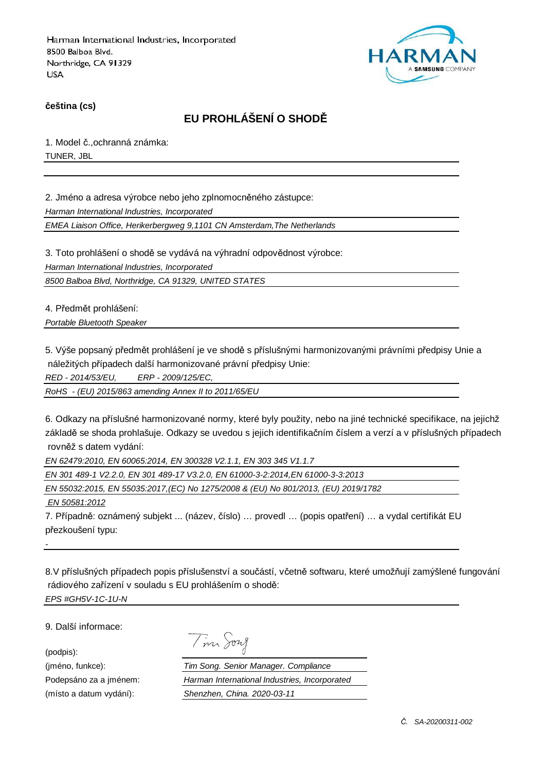

**čeština (cs)**

# **EU PROHLÁŠENÍ O SHODĚ**

1. Model č.,ochranná známka: TUNER, JBL

2. Jméno a adresa výrobce nebo jeho zplnomocněného zástupce:

Harman International Industries, Incorporated

EMEA Liaison Office, Herikerbergweg 9,1101 CN Amsterdam,The Netherlands

3. Toto prohlášení o shodě se vydává na výhradní odpovědnost výrobce:

Harman International Industries, Incorporated

8500 Balboa Blvd, Northridge, CA 91329, UNITED STATES

4. Předmět prohlášení:

Portable Bluetooth Speaker

5. Výše popsaný předmět prohlášení je ve shodě s příslušnými harmonizovanými právními předpisy Unie a náležitých případech další harmonizované právní předpisy Unie:

RED - 2014/53/EU, ERP - 2009/125/EC,

RoHS - (EU) 2015/863 amending Annex II to 2011/65/EU

6. Odkazy na příslušné harmonizované normy, které byly použity, nebo na jiné technické specifikace, na jejichž základě se shoda prohlašuje. Odkazy se uvedou s jejich identifikačním číslem a verzí a v příslušných případech rovněž s datem vydání:

EN 62479:2010, EN 60065:2014, EN 300328 V2.1.1, EN 303 345 V1.1.7

EN 301 489-1 V2.2.0, EN 301 489-17 V3.2.0, EN 61000-3-2:2014,EN 61000-3-3:2013

EN 55032:2015, EN 55035:2017,(EC) No 1275/2008 & (EU) No 801/2013, (EU) 2019/1782

EN 50581:2012

7. Případně: oznámený subjekt ... (název, číslo) … provedl … (popis opatření) … a vydal certifikát EU přezkoušení typu:

8.V příslušných případech popis příslušenství a součástí, včetně softwaru, které umožňují zamýšlené fungování rádiového zařízení v souladu s EU prohlášením o shodě: EPS #GH5V-1C-1U-N

9. Další informace:

(podpis):

-

Tim Song

(jméno, funkce): Tim Song. Senior Manager. Compliance Podepsáno za a jménem: Harman International Industries, Incorporated (místo a datum vydání): Shenzhen, China. 2020-03-11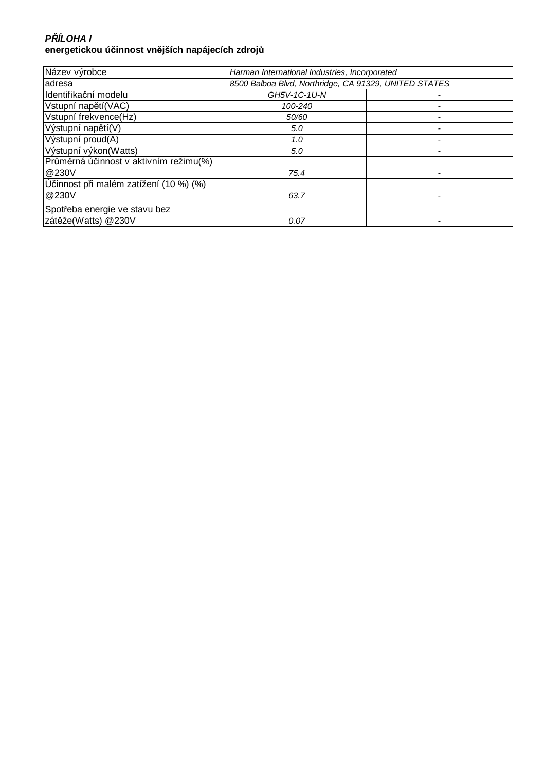### **P***Ř***ÍLOHA I energetickou účinnost vnějších napájecích zdrojů**

| Název výrobce                          | Harman International Industries, Incorporated         |  |
|----------------------------------------|-------------------------------------------------------|--|
| adresa                                 | 8500 Balboa Blvd, Northridge, CA 91329, UNITED STATES |  |
| Identifikační modelu                   | GH5V-1C-1U-N                                          |  |
| Vstupní napětí (VAC)                   | 100-240                                               |  |
| Vstupní frekvence(Hz)                  | 50/60                                                 |  |
| Výstupní napětí(V)                     | 5.0                                                   |  |
| Výstupní proud(A)                      | 1.0                                                   |  |
| Výstupní výkon(Watts)                  | 5.0                                                   |  |
| Průměrná účinnost v aktivním režimu(%) |                                                       |  |
| @230V                                  | 75.4                                                  |  |
| Učinnost při malém zatížení (10 %) (%) |                                                       |  |
| @230V                                  | 63.7                                                  |  |
| Spotřeba energie ve stavu bez          |                                                       |  |
| zátěže(Watts) @230V                    | 0.07                                                  |  |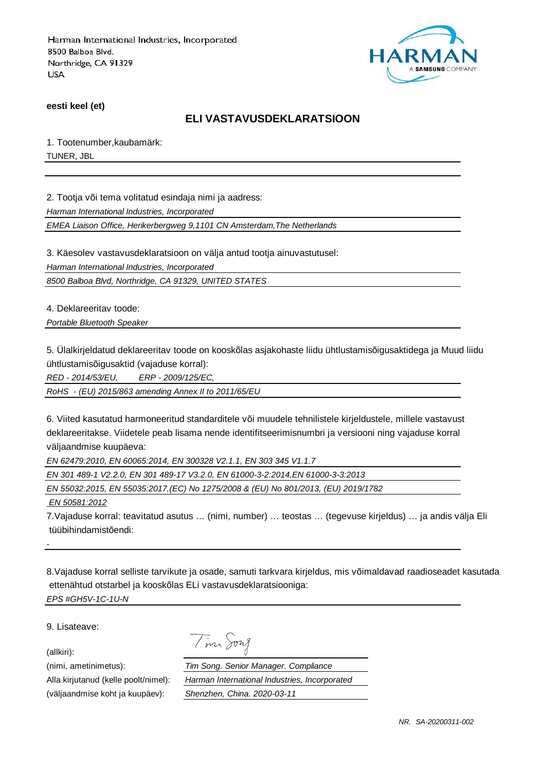

**eesti keel (et)**

### **ELI VASTAVUSDEKLARATSIOON**

1. Tootenumber,kaubamärk: TUNER, JBL

2. Tootja või tema volitatud esindaja nimi ja aadress:

Harman International Industries, Incorporated

EMEA Liaison Office, Herikerbergweg 9,1101 CN Amsterdam,The Netherlands

3. Käesolev vastavusdeklaratsioon on välja antud tootja ainuvastutusel:

Harman International Industries, Incorporated

8500 Balboa Blvd, Northridge, CA 91329, UNITED STATES

4. Deklareeritav toode:

Portable Bluetooth Speaker

5. Ülalkirjeldatud deklareeritav toode on kooskõlas asjakohaste liidu ühtlustamisõigusaktidega ja Muud liidu ühtlustamisõigusaktid (vajaduse korral):

RED - 2014/53/EU, ERP - 2009/125/EC,

RoHS - (EU) 2015/863 amending Annex II to 2011/65/EU

6. Viited kasutatud harmoneeritud standarditele või muudele tehnilistele kirjeldustele, millele vastavust deklareeritakse. Viidetele peab lisama nende identifitseerimisnumbri ja versiooni ning vajaduse korral väljaandmise kuupäeva:

EN 62479:2010, EN 60065:2014, EN 300328 V2.1.1, EN 303 345 V1.1.7

EN 301 489-1 V2.2.0, EN 301 489-17 V3.2.0, EN 61000-3-2:2014,EN 61000-3-3:2013

EN 55032:2015, EN 55035:2017,(EC) No 1275/2008 & (EU) No 801/2013, (EU) 2019/1782

Tim Song

EN 50581:2012

7.Vajaduse korral: teavitatud asutus … (nimi, number) … teostas … (tegevuse kirjeldus) … ja andis välja Eli tüübihindamistõendi:

8.Vajaduse korral selliste tarvikute ja osade, samuti tarkvara kirjeldus, mis võimaldavad raadioseadet kasutada ettenähtud otstarbel ja kooskõlas ELi vastavusdeklaratsiooniga: EPS #GH5V-1C-1U-N

9. Lisateave:

(allkiri):

-

(nimi, ametinimetus): Tim Song. Senior Manager. Compliance Alla kirjutanud (kelle poolt/nimel): Harman International Industries, Incorporated (väljaandmise koht ja kuupäev): Shenzhen, China. 2020-03-11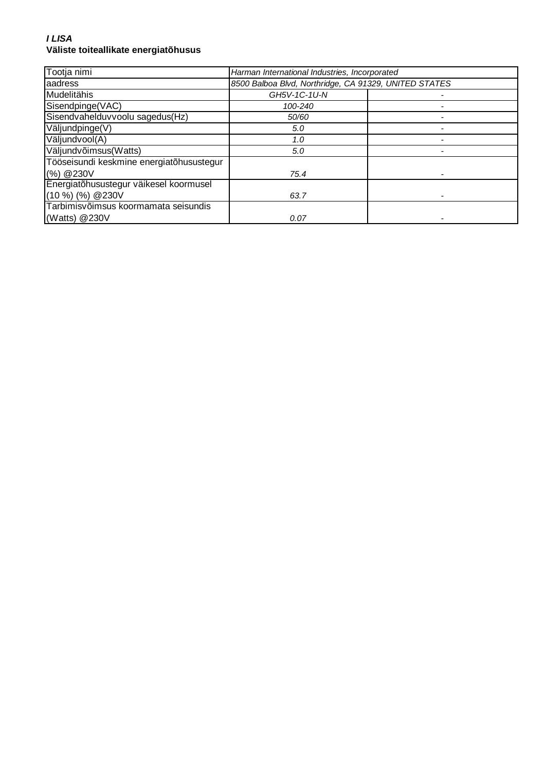#### **I LISA Väliste toiteallikate energiatõhusus**

| Tootja nimi                              | Harman International Industries, Incorporated |                                                       |  |
|------------------------------------------|-----------------------------------------------|-------------------------------------------------------|--|
| aadress                                  |                                               | 8500 Balboa Blvd, Northridge, CA 91329, UNITED STATES |  |
| Mudelitähis                              | GH5V-1C-1U-N                                  |                                                       |  |
| Sisendpinge(VAC)                         | 100-240                                       |                                                       |  |
| Sisendvahelduvvoolu sagedus(Hz)          | 50/60                                         |                                                       |  |
| Väljundpinge(V)                          | 5.0                                           |                                                       |  |
| Väljundvool(A)                           | 1.0                                           |                                                       |  |
| Väljundvõimsus(Watts)                    | 5.0                                           |                                                       |  |
| Tööseisundi keskmine energiatõhusustegur |                                               |                                                       |  |
| (%) @ 230V                               | 75.4                                          |                                                       |  |
| Energiatõhusustegur väikesel koormusel   |                                               |                                                       |  |
| $(10\%)$ (%) @ 230V                      | 63.7                                          |                                                       |  |
| Tarbimisvõimsus koormamata seisundis     |                                               |                                                       |  |
| (Watts) @230V                            | 0.07                                          |                                                       |  |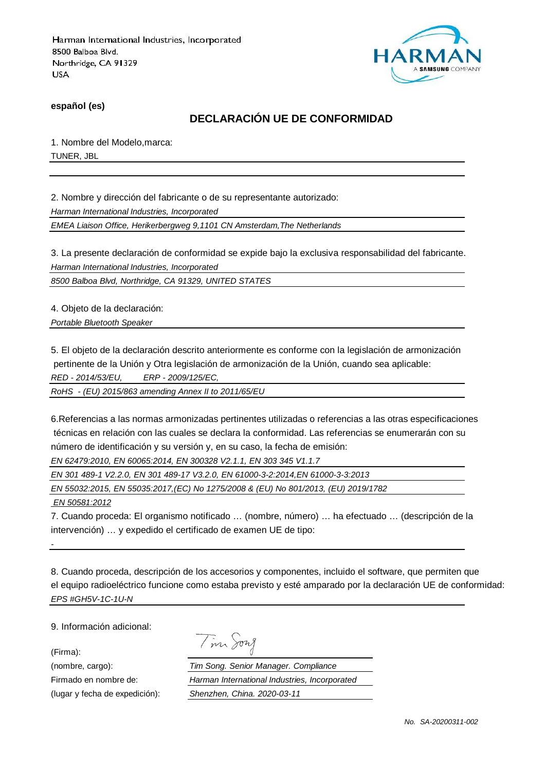

**español (es)**

# **DECLARACIÓN UE DE CONFORMIDAD**

1. Nombre del Modelo,marca: TUNER, JBL

2. Nombre y dirección del fabricante o de su representante autorizado:

Harman International Industries, Incorporated

EMEA Liaison Office, Herikerbergweg 9,1101 CN Amsterdam,The Netherlands

3. La presente declaración de conformidad se expide bajo la exclusiva responsabilidad del fabricante. Harman International Industries, Incorporated

8500 Balboa Blvd, Northridge, CA 91329, UNITED STATES

4. Objeto de la declaración:

Portable Bluetooth Speaker

5. El objeto de la declaración descrito anteriormente es conforme con la legislación de armonización pertinente de la Unión y Otra legislación de armonización de la Unión, cuando sea aplicable: RED - 2014/53/EU, ERP - 2009/125/EC,

RoHS - (EU) 2015/863 amending Annex II to 2011/65/EU

6.Referencias a las normas armonizadas pertinentes utilizadas o referencias a las otras especificaciones técnicas en relación con las cuales se declara la conformidad. Las referencias se enumerarán con su número de identificación y su versión y, en su caso, la fecha de emisión:

EN 62479:2010, EN 60065:2014, EN 300328 V2.1.1, EN 303 345 V1.1.7

EN 301 489-1 V2.2.0, EN 301 489-17 V3.2.0, EN 61000-3-2:2014,EN 61000-3-3:2013

EN 55032:2015, EN 55035:2017,(EC) No 1275/2008 & (EU) No 801/2013, (EU) 2019/1782

EN 50581:2012

7. Cuando proceda: El organismo notificado … (nombre, número) … ha efectuado … (descripción de la intervención) … y expedido el certificado de examen UE de tipo:

8. Cuando proceda, descripción de los accesorios y componentes, incluido el software, que permiten que el equipo radioeléctrico funcione como estaba previsto y esté amparado por la declaración UE de conformidad: EPS #GH5V-1C-1U-N

9. Información adicional:

(Firma):

-

| vw<br>7 |
|---------|
|         |

(nombre, cargo): Tim Song. Senior Manager. Compliance Firmado en nombre de: Harman International Industries, Incorporated (lugar y fecha de expedición): Shenzhen, China. 2020-03-11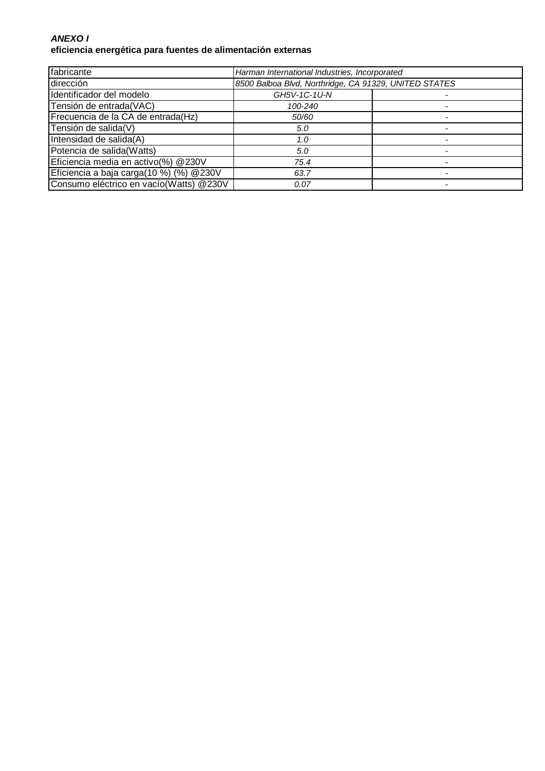### **ANEXO I eficiencia energética para fuentes de alimentación externas**

| fabricante                              | Harman International Industries, Incorporated         |  |
|-----------------------------------------|-------------------------------------------------------|--|
| dirección                               | 8500 Balboa Blvd, Northridge, CA 91329, UNITED STATES |  |
| Identificador del modelo                | GH5V-1C-1U-N                                          |  |
| Tensión de entrada(VAC)                 | 100-240                                               |  |
| Frecuencia de la CA de entrada(Hz)      | 50/60                                                 |  |
| Tensión de salida(V)                    | 5.0                                                   |  |
| Intensidad de salida(A)                 | 1.0                                                   |  |
| Potencia de salida(Watts)               | 5.0                                                   |  |
| Eficiencia media en activo(%) @230V     | 75.4                                                  |  |
| Eficiencia a baja carga(10 %) (%) @230V | 63.7                                                  |  |
| Consumo eléctrico en vacío(Watts) @230V | 0.07                                                  |  |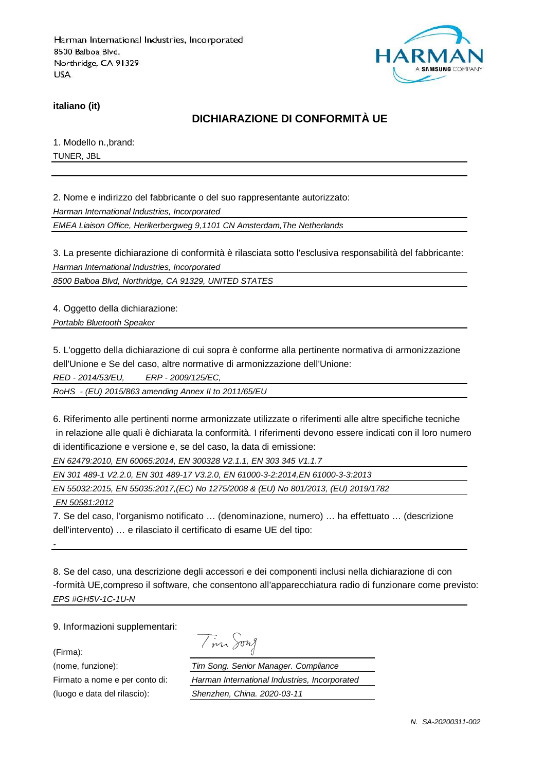

**italiano (it)**

# **DICHIARAZIONE DI CONFORMITÀ UE**

1. Modello n.,brand: TUNER, JBL

2. Nome e indirizzo del fabbricante o del suo rappresentante autorizzato:

Harman International Industries, Incorporated

EMEA Liaison Office, Herikerbergweg 9,1101 CN Amsterdam,The Netherlands

3. La presente dichiarazione di conformità è rilasciata sotto l'esclusiva responsabilità del fabbricante: Harman International Industries, Incorporated

8500 Balboa Blvd, Northridge, CA 91329, UNITED STATES

4. Oggetto della dichiarazione:

Portable Bluetooth Speaker

5. L'oggetto della dichiarazione di cui sopra è conforme alla pertinente normativa di armonizzazione dell'Unione e Se del caso, altre normative di armonizzazione dell'Unione:

RED - 2014/53/EU, ERP - 2009/125/EC,

RoHS - (EU) 2015/863 amending Annex II to 2011/65/EU

6. Riferimento alle pertinenti norme armonizzate utilizzate o riferimenti alle altre specifiche tecniche in relazione alle quali è dichiarata la conformità. I riferimenti devono essere indicati con il loro numero di identificazione e versione e, se del caso, la data di emissione:

EN 62479:2010, EN 60065:2014, EN 300328 V2.1.1, EN 303 345 V1.1.7

EN 301 489-1 V2.2.0, EN 301 489-17 V3.2.0, EN 61000-3-2:2014,EN 61000-3-3:2013

EN 55032:2015, EN 55035:2017,(EC) No 1275/2008 & (EU) No 801/2013, (EU) 2019/1782

EN 50581:2012

7. Se del caso, l'organismo notificato … (denominazione, numero) … ha effettuato … (descrizione dell'intervento) … e rilasciato il certificato di esame UE del tipo:

8. Se del caso, una descrizione degli accessori e dei componenti inclusi nella dichiarazione di con -formità UE,compreso il software, che consentono all'apparecchiatura radio di funzionare come previsto: EPS #GH5V-1C-1U-N

9. Informazioni supplementari:

(Firma):

-

Tim Song

(nome, funzione): Tim Song. Senior Manager. Compliance Firmato a nome e per conto di: Harman International Industries, Incorporated (luogo e data del rilascio): Shenzhen, China. 2020-03-11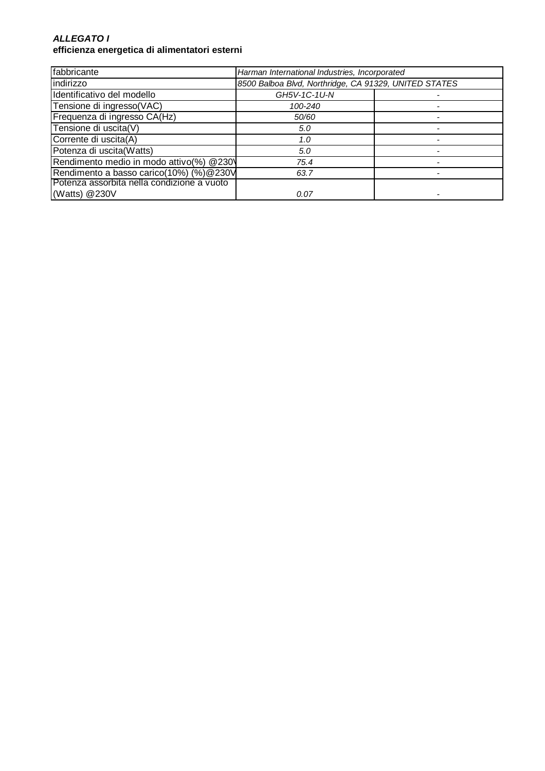#### **ALLEGATO I efficienza energetica di alimentatori esterni**

| fabbricante                                | Harman International Industries, Incorporated         |  |
|--------------------------------------------|-------------------------------------------------------|--|
| indirizzo                                  | 8500 Balboa Blvd, Northridge, CA 91329, UNITED STATES |  |
| Identificativo del modello                 | GH5V-1C-1U-N                                          |  |
| Tensione di ingresso(VAC)                  | 100-240                                               |  |
| Frequenza di ingresso CA(Hz)               | 50/60                                                 |  |
| Tensione di uscita(V)                      | 5.0                                                   |  |
| Corrente di uscita(A)                      | 1.0                                                   |  |
| Potenza di uscita(Watts)                   | 5.0                                                   |  |
| Rendimento medio in modo attivo(%) @230    | 75.4                                                  |  |
| Rendimento a basso carico(10%) (%) @ 230V  | 63.7                                                  |  |
| Potenza assorbita nella condizione a vuoto |                                                       |  |
| (Watts) @230V                              | 0.07                                                  |  |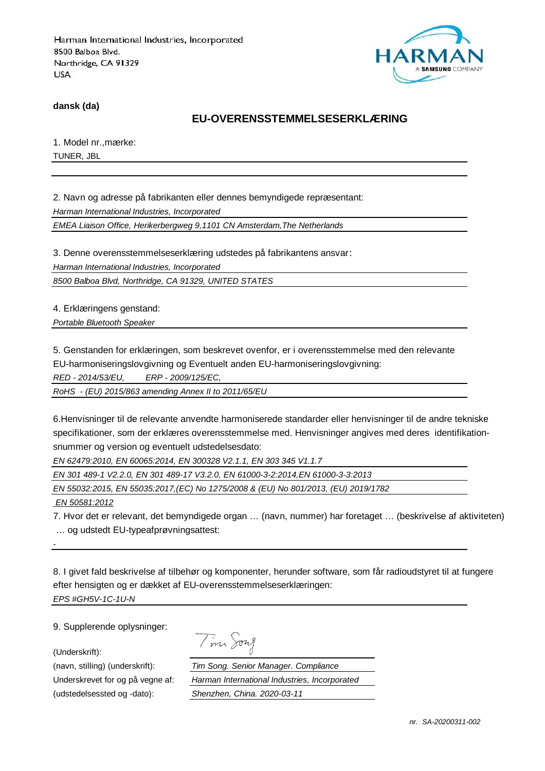

**dansk (da)**

### **EU-OVERENSSTEMMELSESERKLÆRING**

1. Model nr.,mærke: TUNER, JBL

2. Navn og adresse på fabrikanten eller dennes bemyndigede repræsentant: Harman International Industries, Incorporated

EMEA Liaison Office, Herikerbergweg 9,1101 CN Amsterdam,The Netherlands

3. Denne overensstemmelseserklæring udstedes på fabrikantens ansvar:

Harman International Industries, Incorporated

8500 Balboa Blvd, Northridge, CA 91329, UNITED STATES

4. Erklæringens genstand:

Portable Bluetooth Speaker

5. Genstanden for erklæringen, som beskrevet ovenfor, er i overensstemmelse med den relevante

EU-harmoniseringslovgivning og Eventuelt anden EU-harmoniseringslovgivning:

RED - 2014/53/EU, ERP - 2009/125/EC,

RoHS - (EU) 2015/863 amending Annex II to 2011/65/EU

6.Henvisninger til de relevante anvendte harmoniserede standarder eller henvisninger til de andre tekniske specifikationer, som der erklæres overensstemmelse med. Henvisninger angives med deres identifikationsnummer og version og eventuelt udstedelsesdato:

EN 62479:2010, EN 60065:2014, EN 300328 V2.1.1, EN 303 345 V1.1.7

EN 301 489-1 V2.2.0, EN 301 489-17 V3.2.0, EN 61000-3-2:2014,EN 61000-3-3:2013

EN 55032:2015, EN 55035:2017,(EC) No 1275/2008 & (EU) No 801/2013, (EU) 2019/1782

EN 50581:2012

-

7. Hvor det er relevant, det bemyndigede organ … (navn, nummer) har foretaget … (beskrivelse af aktiviteten)

… og udstedt EU-typeafprøvningsattest:

8. I givet fald beskrivelse af tilbehør og komponenter, herunder software, som får radioudstyret til at fungere efter hensigten og er dækket af EU-overensstemmelseserklæringen: EPS #GH5V-1C-1U-N

9. Supplerende oplysninger:

(Underskrift):

Tim Song

(navn, stilling) (underskrift): Tim Song. Senior Manager. Compliance Underskrevet for og på vegne af: Harman International Industries, Incorporated (udstedelsessted og -dato): Shenzhen, China. 2020-03-11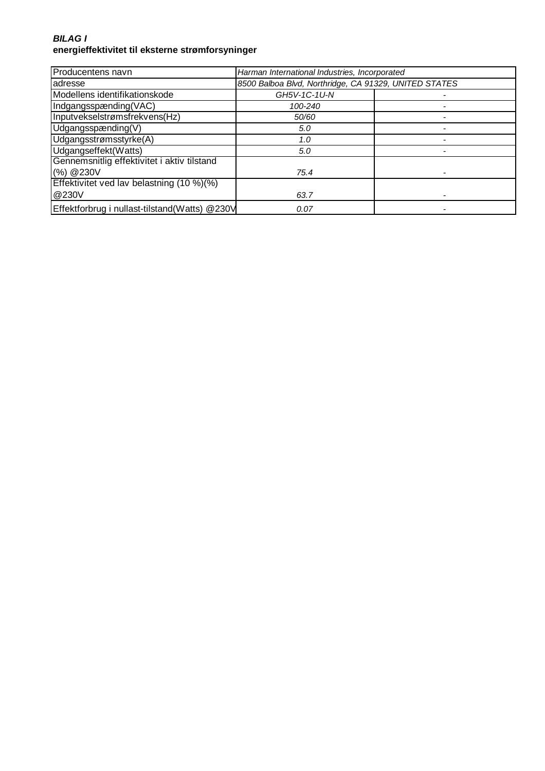### **BILAG I energieffektivitet til eksterne strømforsyninger**

| Producentens navn                             | Harman International Industries, Incorporated |                                                       |  |
|-----------------------------------------------|-----------------------------------------------|-------------------------------------------------------|--|
| adresse                                       |                                               | 8500 Balboa Blvd, Northridge, CA 91329, UNITED STATES |  |
| Modellens identifikationskode                 | GH5V-1C-1U-N                                  |                                                       |  |
| Indgangsspænding(VAC)                         | 100-240                                       |                                                       |  |
| Inputvekselstrømsfrekvens(Hz)                 | 50/60                                         |                                                       |  |
| Udgangsspænding(V)                            | 5.0                                           |                                                       |  |
| Udgangsstrømsstyrke(A)                        | 1.0                                           |                                                       |  |
| Udgangseffekt(Watts)                          | 5.0                                           |                                                       |  |
| Gennemsnitlig effektivitet i aktiv tilstand   |                                               |                                                       |  |
| (%) @230V                                     | 75.4                                          |                                                       |  |
| Effektivitet ved lav belastning (10 %)(%)     |                                               |                                                       |  |
| @230V                                         | 63.7                                          |                                                       |  |
| Effektforbrug i nullast-tilstand(Watts) @230V | 0.07                                          |                                                       |  |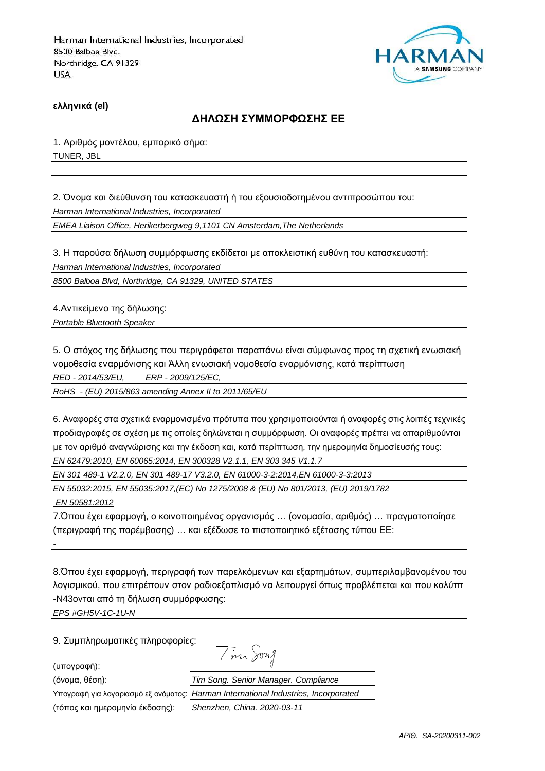

**ελληνικά (el)**

#### **ΔΗΛΩΣΗ ΣΥΜΜΟΡΦΩΣΗΣ ΕΕ**

1. Αριθμός μοντέλου, εμπορικό σήμα: TUNER, JBL

2. Όνομα και διεύθυνση του κατασκευαστή ή του εξουσιοδοτημένου αντιπροσώπου του: Harman International Industries, Incorporated EMEA Liaison Office, Herikerbergweg 9,1101 CN Amsterdam,The Netherlands

3. Η παρούσα δήλωση συμμόρφωσης εκδίδεται με αποκλειστική ευθύνη του κατασκευαστή: Harman International Industries, Incorporated

8500 Balboa Blvd, Northridge, CA 91329, UNITED STATES

4.Αντικείμενο της δήλωσης: Portable Bluetooth Speaker

5. Ο στόχος της δήλωσης που περιγράφεται παραπάνω είναι σύμφωνος προς τη σχετική ενωσιακή νομοθεσία εναρμόνισης και Άλλη ενωσιακή νομοθεσία εναρμόνισης, κατά περίπτωση RED - 2014/53/EU, ERP - 2009/125/EC,

RoHS - (EU) 2015/863 amending Annex II to 2011/65/EU

6. Αναφορές στα σχετικά εναρμονισμένα πρότυπα που χρησιμοποιούνται ή αναφορές στις λοιπές τεχνικές προδιαγραφές σε σχέση με τις οποίες δηλώνεται η συμμόρφωση. Οι αναφορές πρέπει να απαριθμούνται με τον αριθμό αναγνώρισης και την έκδοση και, κατά περίπτωση, την ημερομηνία δημοσίευσής τους: EN 62479:2010, EN 60065:2014, EN 300328 V2.1.1, EN 303 345 V1.1.7

EN 301 489-1 V2.2.0, EN 301 489-17 V3.2.0, EN 61000-3-2:2014,EN 61000-3-3:2013

EN 55032:2015, EN 55035:2017,(EC) No 1275/2008 & (EU) No 801/2013, (EU) 2019/1782

EN 50581:2012

-

7.Όπου έχει εφαρμογή, ο κοινοποιημένος οργανισμός … (ονομασία, αριθμός) … πραγματοποίησε (περιγραφή της παρέμβασης) … και εξέδωσε το πιστοποιητικό εξέτασης τύπου ΕΕ:

8.Όπου έχει εφαρμογή, περιγραφή των παρελκόμενων και εξαρτημάτων, συμπεριλαμβανομένου του λογισμικού, που επιτρέπουν στον ραδιοεξοπλισμό να λειτουργεί όπως προβλέπεται και που καλύπτ -N43ονται από τη δήλωση συμμόρφωσης:

EPS #GH5V-1C-1U-N

9. Συμπληρωματικές πληροφορίες:

(υπογραφή):

Tin Song

(όνομα, θέση):

Υπογραφή για λογαριασμό εξ ονόματος:

(τόπος και ημερομηνία έκδοσης):

| Tim Song. Senior Manager. Compliance          |
|-----------------------------------------------|
| Harman International Industries, Incorporated |
| Shenzhen, China. 2020-03-11                   |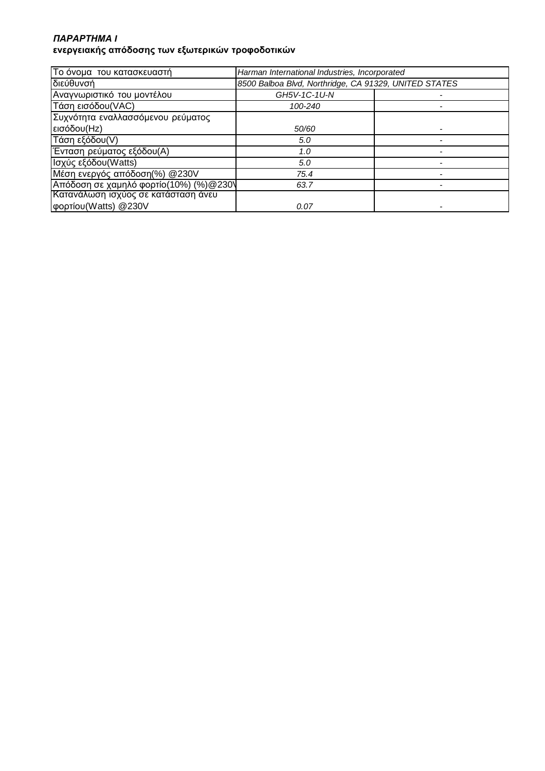### *ΠΑΡΑΡΤΗΜΑ* **I ενεργειακής απόδοσης των εξωτερικών τροφοδοτικών**

| Το όνομα του κατασκευαστή              | Harman International Industries, Incorporated         |  |
|----------------------------------------|-------------------------------------------------------|--|
| διεύθυνσή                              | 8500 Balboa Blvd, Northridge, CA 91329, UNITED STATES |  |
| Αναγνωριστικό του μοντέλου             | GH5V-1C-1U-N                                          |  |
| Τάση εισόδου (VAC)                     | 100-240                                               |  |
| Συχνότητα εναλλασσόμενου ρεύματος      |                                                       |  |
| εισόδου(Hz)                            | 50/60                                                 |  |
| Τάση εξόδου(V)                         | 5.0                                                   |  |
| Ένταση ρεύματος εξόδου(Α)              | 1.0                                                   |  |
| Ισχύς εξόδου(Watts)                    | 5.0                                                   |  |
| Μέση ενεργός απόδοση(%) @230V          | 75.4                                                  |  |
| Απόδοση σε χαμηλό φορτίο(10%) (%)@230\ | 63.7                                                  |  |
| Κατανάλωση ισχύος σε κατάσταση άνευ    |                                                       |  |
| φορτίου (Watts) @230V                  | 0.07                                                  |  |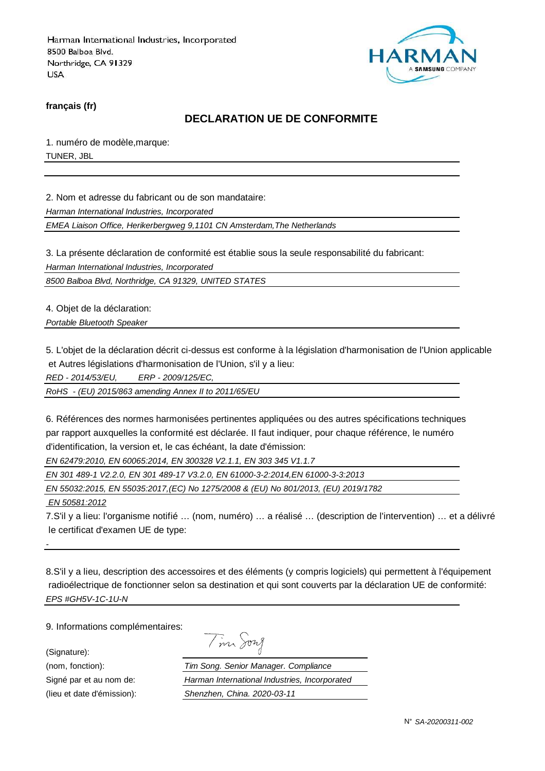

**français (fr)**

### **DECLARATION UE DE CONFORMITE**

1. numéro de modèle,marque: TUNER, JBL

2. Nom et adresse du fabricant ou de son mandataire:

Harman International Industries, Incorporated

EMEA Liaison Office, Herikerbergweg 9,1101 CN Amsterdam,The Netherlands

3. La présente déclaration de conformité est établie sous la seule responsabilité du fabricant:

Harman International Industries, Incorporated

8500 Balboa Blvd, Northridge, CA 91329, UNITED STATES

4. Objet de la déclaration:

Portable Bluetooth Speaker

5. L'objet de la déclaration décrit ci-dessus est conforme à la législation d'harmonisation de l'Union applicable et Autres législations d'harmonisation de l'Union, s'il y a lieu:

RED - 2014/53/EU, ERP - 2009/125/EC,

RoHS - (EU) 2015/863 amending Annex II to 2011/65/EU

6. Références des normes harmonisées pertinentes appliquées ou des autres spécifications techniques par rapport auxquelles la conformité est déclarée. Il faut indiquer, pour chaque référence, le numéro d'identification, la version et, le cas échéant, la date d'émission:

EN 62479:2010, EN 60065:2014, EN 300328 V2.1.1, EN 303 345 V1.1.7

EN 301 489-1 V2.2.0, EN 301 489-17 V3.2.0, EN 61000-3-2:2014,EN 61000-3-3:2013

EN 55032:2015, EN 55035:2017,(EC) No 1275/2008 & (EU) No 801/2013, (EU) 2019/1782

EN 50581:2012

-

7.S'il y a lieu: l'organisme notifié … (nom, numéro) … a réalisé … (description de l'intervention) … et a délivré le certificat d'examen UE de type:

8.S'il y a lieu, description des accessoires et des éléments (y compris logiciels) qui permettent à l'équipement radioélectrique de fonctionner selon sa destination et qui sont couverts par la déclaration UE de conformité: EPS #GH5V-1C-1U-N

9. Informations complémentaires:

(Signature):

Signé par et au nom de:

(nom, fonction):  $\frac{7}{10}$ <br>Signé par et au nom de:  $\frac{H}{S}$ (lieu et date d'émission):

| $\boldsymbol{\mathcal{M}}$ | vw |
|----------------------------|----|
|                            |    |

| im Song. Senior Manager. Compliance           |
|-----------------------------------------------|
| larman International Industries, Incorporated |
| henzhen, China. 2020-03-11 <sup>,</sup>       |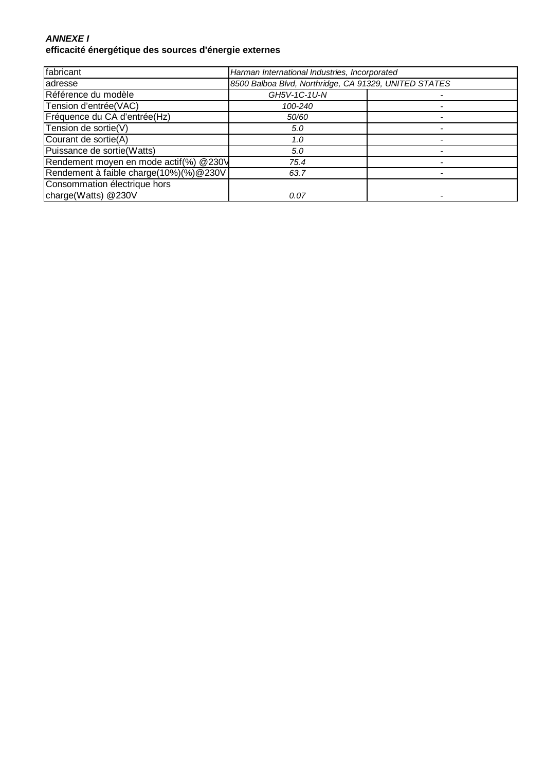### **ANNEXE I efficacité énergétique des sources d'énergie externes**

| fabricant                              | Harman International Industries, Incorporated         |  |
|----------------------------------------|-------------------------------------------------------|--|
| adresse                                | 8500 Balboa Blvd, Northridge, CA 91329, UNITED STATES |  |
| Référence du modèle                    | GH5V-1C-1U-N                                          |  |
| Tension d'entrée(VAC)                  | 100-240                                               |  |
| Fréquence du CA d'entrée(Hz)           | 50/60                                                 |  |
| Tension de sortie(V)                   | 5.0                                                   |  |
| Courant de sortie(A)                   | 1.0                                                   |  |
| Puissance de sortie(Watts)             | 5.0                                                   |  |
| Rendement moyen en mode actif(%) @230V | 75.4                                                  |  |
| Rendement à faible charge(10%)(%)@230V | 63.7                                                  |  |
| Consommation électrique hors           |                                                       |  |
| charge(Watts) @230V                    | 0.07                                                  |  |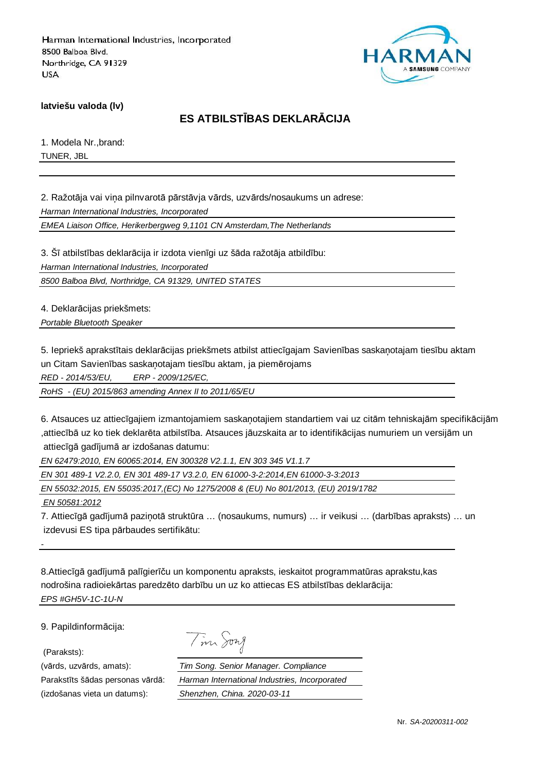

**latviešu valoda (lv)**

# **ES ATBILSTĪBAS DEKLARĀCIJA**

1. Modela Nr.,brand: TUNER, JBL

2. Ražotāja vai viņa pilnvarotā pārstāvja vārds, uzvārds/nosaukums un adrese:

Harman International Industries, Incorporated

EMEA Liaison Office, Herikerbergweg 9,1101 CN Amsterdam,The Netherlands

3. Šī atbilstības deklarācija ir izdota vienīgi uz šāda ražotāja atbildību: Harman International Industries, Incorporated

8500 Balboa Blvd, Northridge, CA 91329, UNITED STATES

4. Deklarācijas priekšmets:

Portable Bluetooth Speaker

5. Iepriekš aprakstītais deklarācijas priekšmets atbilst attiecīgajam Savienības saskaņotajam tiesību aktam un Citam Savienības saskaņotajam tiesību aktam, ja piemērojams

RED - 2014/53/EU, ERP - 2009/125/EC,

RoHS - (EU) 2015/863 amending Annex II to 2011/65/EU

6. Atsauces uz attiecīgajiem izmantojamiem saskaņotajiem standartiem vai uz citām tehniskajām specifikācijām ,attiecībā uz ko tiek deklarēta atbilstība. Atsauces jāuzskaita ar to identifikācijas numuriem un versijām un attiecīgā gadījumā ar izdošanas datumu:

EN 62479:2010, EN 60065:2014, EN 300328 V2.1.1, EN 303 345 V1.1.7

EN 301 489-1 V2.2.0, EN 301 489-17 V3.2.0, EN 61000-3-2:2014,EN 61000-3-3:2013

EN 55032:2015, EN 55035:2017,(EC) No 1275/2008 & (EU) No 801/2013, (EU) 2019/1782

EN 50581:2012

-

7. Attiecīgā gadījumā paziņotā struktūra … (nosaukums, numurs) … ir veikusi … (darbības apraksts) … un izdevusi ES tipa pārbaudes sertifikātu:

8.Attiecīgā gadījumā palīgierīču un komponentu apraksts, ieskaitot programmatūras aprakstu,kas nodrošina radioiekārtas paredzēto darbību un uz ko attiecas ES atbilstības deklarācija: EPS #GH5V-1C-1U-N

9. Papildinformācija:

(Paraksts):

(izdošanas vieta un datums): Shenzhen, China. 2020-03-11

|  | $1277$ $\lambda$ |
|--|------------------|
|--|------------------|

(vārds, uzvārds, amats): Tim Song. Senior Manager. Compliance Parakstīts šādas personas vārdā: Harman International Industries, Incorporated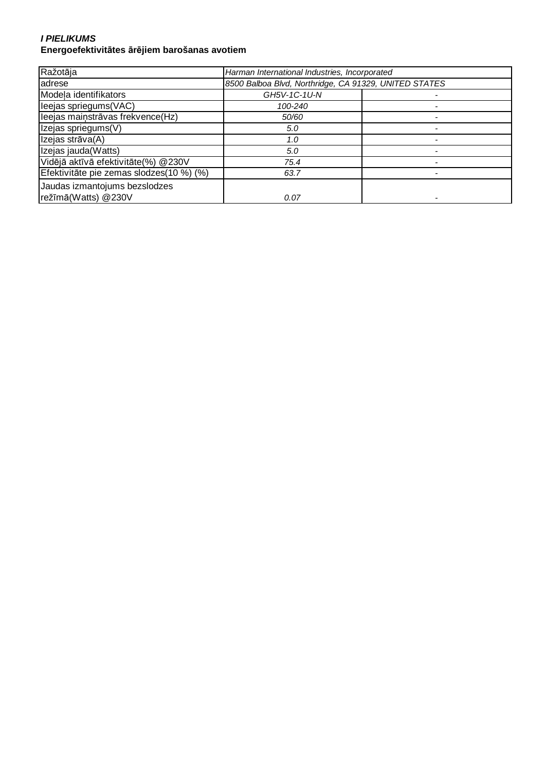#### **I PIELIKUMS Energoefektivitātes ārējiem barošanas avotiem**

| Ražotāja                                 | Harman International Industries, Incorporated         |  |
|------------------------------------------|-------------------------------------------------------|--|
| adrese                                   | 8500 Balboa Blvd, Northridge, CA 91329, UNITED STATES |  |
| Modela identifikators                    | GH5V-1C-1U-N                                          |  |
| leejas spriegums (VAC)                   | 100-240                                               |  |
| leejas mainstrāvas frekvence(Hz)         | 50/60                                                 |  |
| Izejas spriegums(V)                      | 5.0                                                   |  |
| Izejas strāva(A)                         | 1.0                                                   |  |
| Izejas jauda (Watts)                     | 5.0                                                   |  |
| Vidējā aktīvā efektivitāte(%) @230V      | 75.4                                                  |  |
| Efektivitāte pie zemas slodzes(10 %) (%) | 63.7                                                  |  |
| Jaudas izmantojums bezslodzes            |                                                       |  |
| režīmā(Watts) @230V                      | 0.07                                                  |  |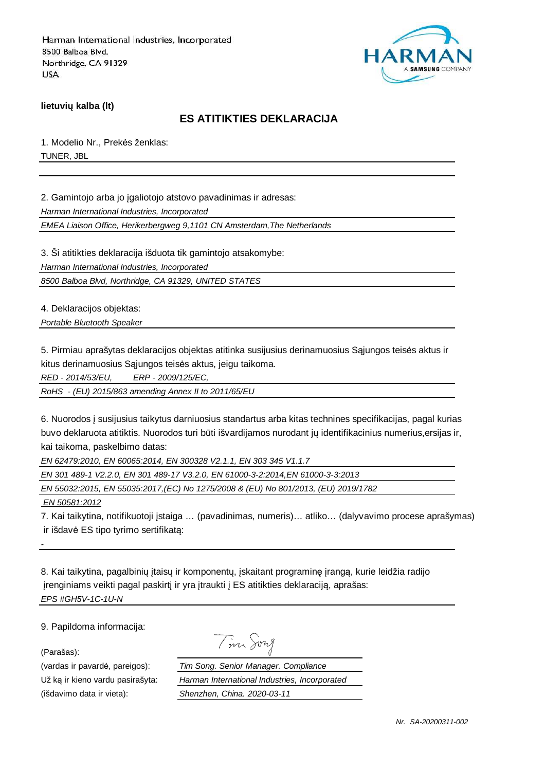

**lietuvių kalba (lt)**

# **ES ATITIKTIES DEKLARACIJA**

1. Modelio Nr., Prekės ženklas: TUNER, JBL

2. Gamintojo arba jo įgaliotojo atstovo pavadinimas ir adresas:

Harman International Industries, Incorporated

EMEA Liaison Office, Herikerbergweg 9,1101 CN Amsterdam,The Netherlands

3. Ši atitikties deklaracija išduota tik gamintojo atsakomybe:

Harman International Industries, Incorporated

8500 Balboa Blvd, Northridge, CA 91329, UNITED STATES

4. Deklaracijos objektas:

Portable Bluetooth Speaker

5. Pirmiau aprašytas deklaracijos objektas atitinka susijusius derinamuosius Sąjungos teisės aktus ir kitus derinamuosius Sąjungos teisės aktus, jeigu taikoma.

RED - 2014/53/EU, ERP - 2009/125/EC,

RoHS - (EU) 2015/863 amending Annex II to 2011/65/EU

6. Nuorodos į susijusius taikytus darniuosius standartus arba kitas technines specifikacijas, pagal kurias buvo deklaruota atitiktis. Nuorodos turi būti išvardijamos nurodant jų identifikacinius numerius,ersijas ir, kai taikoma, paskelbimo datas:

EN 62479:2010, EN 60065:2014, EN 300328 V2.1.1, EN 303 345 V1.1.7

EN 301 489-1 V2.2.0, EN 301 489-17 V3.2.0, EN 61000-3-2:2014,EN 61000-3-3:2013

EN 55032:2015, EN 55035:2017,(EC) No 1275/2008 & (EU) No 801/2013, (EU) 2019/1782

EN 50581:2012

-

7. Kai taikytina, notifikuotoji įstaiga … (pavadinimas, numeris)… atliko… (dalyvavimo procese aprašymas) ir išdavė ES tipo tyrimo sertifikatą:

8. Kai taikytina, pagalbinių įtaisų ir komponentų, įskaitant programinę įrangą, kurie leidžia radijo įrenginiams veikti pagal paskirtį ir yra įtraukti į ES atitikties deklaraciją, aprašas: EPS #GH5V-1C-1U-N

9. Papildoma informacija:

(Parašas):

(vardas ir pavardė, pareigos):  $\frac{T}{H}$ <br>Už ką ir kieno vardu pasirašyta:  $\frac{H}{H}$ Už ką ir kieno vardu pasirašyta: (išdavimo data ir vieta): Shenzhen, China. 2021.

| $\mathcal{A}$ | 1921 M |
|---------------|--------|
|               |        |

| im Song. Senior Manager. Compliance           |  |  |
|-----------------------------------------------|--|--|
| larman International Industries, Incorporated |  |  |
| henzhen, China. 2020-03-11                    |  |  |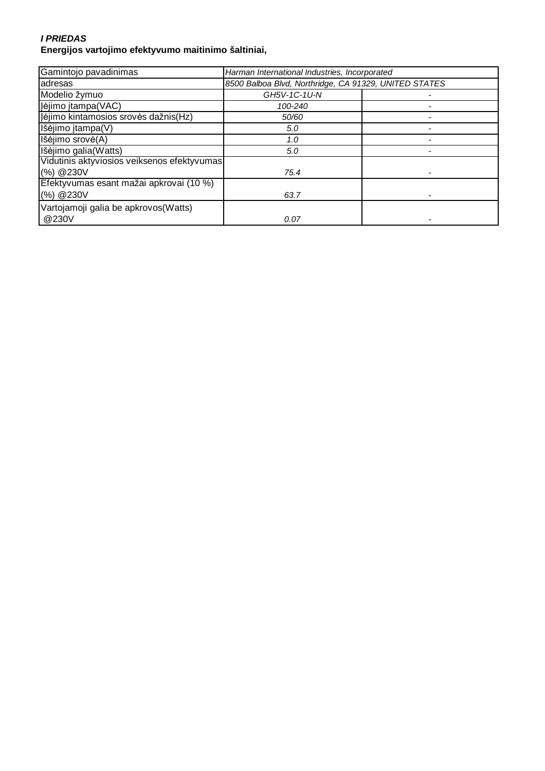#### **I PRIEDAS Energijos vartojimo efektyvumo maitinimo šaltiniai,**

| Gamintojo pavadinimas                       | Harman International Industries, Incorporated         |  |
|---------------------------------------------|-------------------------------------------------------|--|
| adresas                                     | 8500 Balboa Blvd, Northridge, CA 91329, UNITED STATES |  |
| Modelio žymuo                               | GH5V-1C-1U-N                                          |  |
| Įėjimo įtampa (VAC)                         | 100-240                                               |  |
| Jėjimo kintamosios srovės dažnis(Hz)        | 50/60                                                 |  |
| Išėjimo įtampa(V)                           | 5.0                                                   |  |
| Išėjimo srovė(A)                            | 1.0                                                   |  |
| Išėjimo galia(Watts)                        | 5.0                                                   |  |
| Vidutinis aktyviosios veiksenos efektyvumas |                                                       |  |
| (%) @ 230V                                  | 75.4                                                  |  |
| Efektyvumas esant mažai apkrovai (10 %)     |                                                       |  |
| (%) @ 230V                                  | 63.7                                                  |  |
| Vartojamoji galia be apkrovos (Watts)       |                                                       |  |
| @230V                                       | 0.07                                                  |  |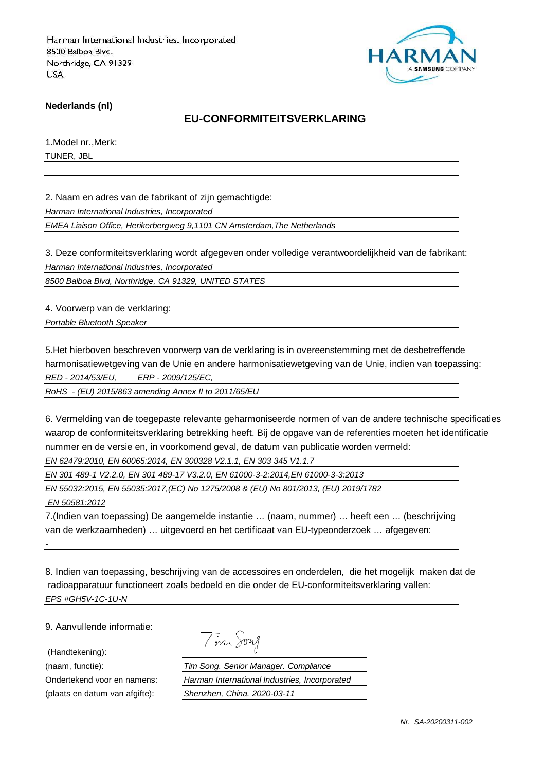

**Nederlands (nl)**

### **EU-CONFORMITEITSVERKLARING**

1.Model nr.,Merk: TUNER, JBL

2. Naam en adres van de fabrikant of zijn gemachtigde:

Harman International Industries, Incorporated

EMEA Liaison Office, Herikerbergweg 9,1101 CN Amsterdam,The Netherlands

3. Deze conformiteitsverklaring wordt afgegeven onder volledige verantwoordelijkheid van de fabrikant: Harman International Industries, Incorporated

8500 Balboa Blvd, Northridge, CA 91329, UNITED STATES

4. Voorwerp van de verklaring:

Portable Bluetooth Speaker

5.Het hierboven beschreven voorwerp van de verklaring is in overeenstemming met de desbetreffende harmonisatiewetgeving van de Unie en andere harmonisatiewetgeving van de Unie, indien van toepassing: RED - 2014/53/EU, ERP - 2009/125/EC,

RoHS - (EU) 2015/863 amending Annex II to 2011/65/EU

6. Vermelding van de toegepaste relevante geharmoniseerde normen of van de andere technische specificaties waarop de conformiteitsverklaring betrekking heeft. Bij de opgave van de referenties moeten het identificatie nummer en de versie en, in voorkomend geval, de datum van publicatie worden vermeld: EN 62479:2010, EN 60065:2014, EN 300328 V2.1.1, EN 303 345 V1.1.7

EN 301 489-1 V2.2.0, EN 301 489-17 V3.2.0, EN 61000-3-2:2014,EN 61000-3-3:2013

EN 55032:2015, EN 55035:2017,(EC) No 1275/2008 & (EU) No 801/2013, (EU) 2019/1782

EN 50581:2012

-

7.(Indien van toepassing) De aangemelde instantie … (naam, nummer) … heeft een … (beschrijving van de werkzaamheden) … uitgevoerd en het certificaat van EU-typeonderzoek … afgegeven:

8. Indien van toepassing, beschrijving van de accessoires en onderdelen, die het mogelijk maken dat de radioapparatuur functioneert zoals bedoeld en die onder de EU-conformiteitsverklaring vallen: EPS #GH5V-1C-1U-N

9. Aanvullende informatie:

(Handtekening):

Tim Song

(naam, functie): Tim Song. Senior Manager. Compliance Ondertekend voor en namens: Harman International Industries, Incorporated (plaats en datum van afgifte): Shenzhen, China. 2020-03-11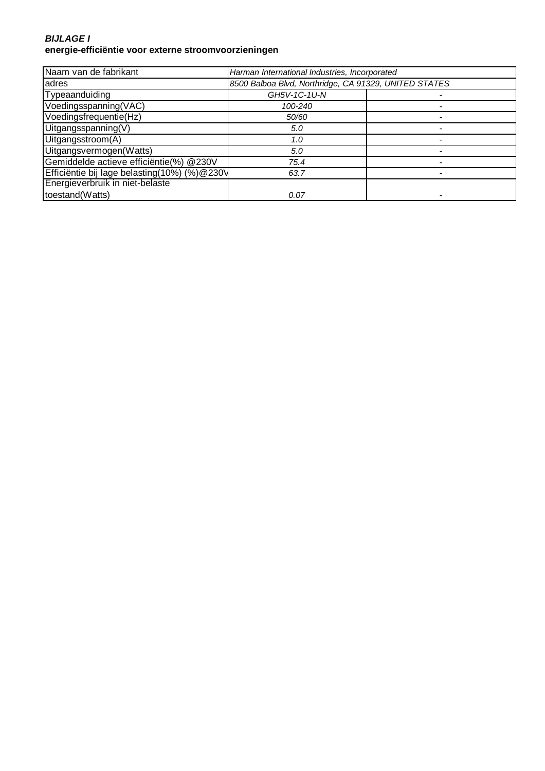#### **BIJLAGE I energie-efficiëntie voor externe stroomvoorzieningen**

| Naam van de fabrikant                        | Harman International Industries, Incorporated         |  |
|----------------------------------------------|-------------------------------------------------------|--|
| adres                                        | 8500 Balboa Blvd, Northridge, CA 91329, UNITED STATES |  |
| Typeaanduiding                               | GH5V-1C-1U-N                                          |  |
| Voedingsspanning(VAC)                        | 100-240                                               |  |
| Voedingsfrequentie(Hz)                       | 50/60                                                 |  |
| Uitgangsspanning(V)                          | 5.0                                                   |  |
| Uitgangsstroom(A)                            | 1.0                                                   |  |
| Uitgangsvermogen(Watts)                      | 5.0                                                   |  |
| Gemiddelde actieve efficiëntie(%) @230V      | 75.4                                                  |  |
| Efficiëntie bij lage belasting(10%) (%)@230V | 63.7                                                  |  |
| Energieverbruik in niet-belaste              |                                                       |  |
| toestand(Watts)                              | 0.07                                                  |  |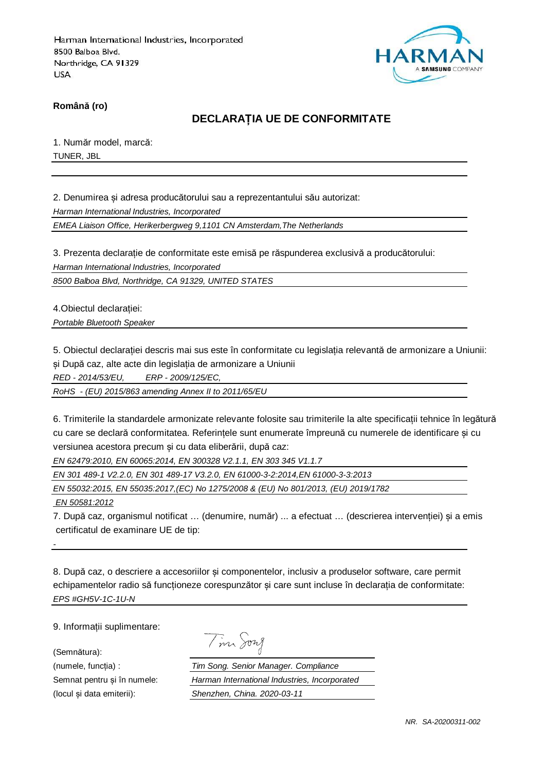

**Română (ro)**

# **DECLARAȚIA UE DE CONFORMITATE**

1. Număr model, marcă: TUNER, JBL

2. Denumirea și adresa producătorului sau a reprezentantului său autorizat:

Harman International Industries, Incorporated

EMEA Liaison Office, Herikerbergweg 9,1101 CN Amsterdam,The Netherlands

3. Prezenta declarație de conformitate este emisă pe răspunderea exclusivă a producătorului:

Harman International Industries, Incorporated

8500 Balboa Blvd, Northridge, CA 91329, UNITED STATES

4.Obiectul declarației:

Portable Bluetooth Speaker

5. Obiectul declarației descris mai sus este în conformitate cu legislația relevantă de armonizare a Uniunii: și După caz, alte acte din legislația de armonizare a Uniunii

RED - 2014/53/EU, ERP - 2009/125/EC,

RoHS - (EU) 2015/863 amending Annex II to 2011/65/EU

6. Trimiterile la standardele armonizate relevante folosite sau trimiterile la alte specificații tehnice în legătură cu care se declară conformitatea. Referințele sunt enumerate împreună cu numerele de identificare și cu versiunea acestora precum și cu data eliberării, după caz:

EN 62479:2010, EN 60065:2014, EN 300328 V2.1.1, EN 303 345 V1.1.7

EN 301 489-1 V2.2.0, EN 301 489-17 V3.2.0, EN 61000-3-2:2014,EN 61000-3-3:2013

EN 55032:2015, EN 55035:2017,(EC) No 1275/2008 & (EU) No 801/2013, (EU) 2019/1782

EN 50581:2012

-

7. După caz, organismul notificat … (denumire, număr) ... a efectuat … (descrierea intervenției) și a emis certificatul de examinare UE de tip:

8. După caz, o descriere a accesoriilor și componentelor, inclusiv a produselor software, care permit echipamentelor radio să funcționeze corespunzător și care sunt incluse în declarația de conformitate: EPS #GH5V-1C-1U-N

9. Informații suplimentare:

(Semnătura):

| $\mathcal{A}$ | าพาศ |  |
|---------------|------|--|
|               |      |  |

(numele, funcția) : Tim Song. Senior Manager. Compliance Semnat pentru și în numele: Harman International Industries, Incorporated (locul și data emiterii): Shenzhen, China. 2020-03-11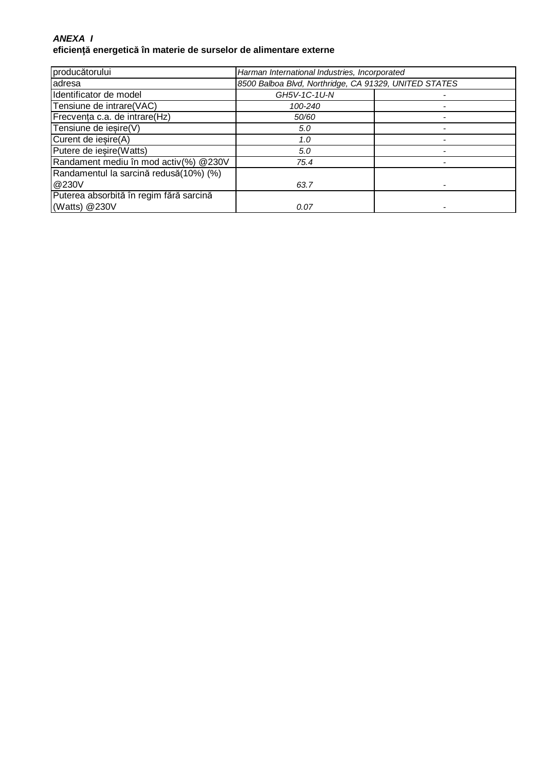### **ANEXA I eficiență energetică în materie de surselor de alimentare externe**

| producătorului                          | Harman International Industries, Incorporated         |  |
|-----------------------------------------|-------------------------------------------------------|--|
| adresa                                  | 8500 Balboa Blvd, Northridge, CA 91329, UNITED STATES |  |
| Identificator de model                  | GH5V-1C-1U-N                                          |  |
| Tensiune de intrare(VAC)                | 100-240                                               |  |
| Frecvența c.a. de intrare(Hz)           | 50/60                                                 |  |
| Tensiune de iesire(V)                   | 5.0                                                   |  |
| Curent de iesire(A)                     | 1.0                                                   |  |
| Putere de iesire (Watts)                | 5.0                                                   |  |
| Randament mediu în mod activ(%) @230V   | 75.4                                                  |  |
| Randamentul la sarcină redusă(10%) (%)  |                                                       |  |
| @230V                                   | 63.7                                                  |  |
| Puterea absorbită în regim fără sarcină |                                                       |  |
| (Watts) @230V                           | 0.07                                                  |  |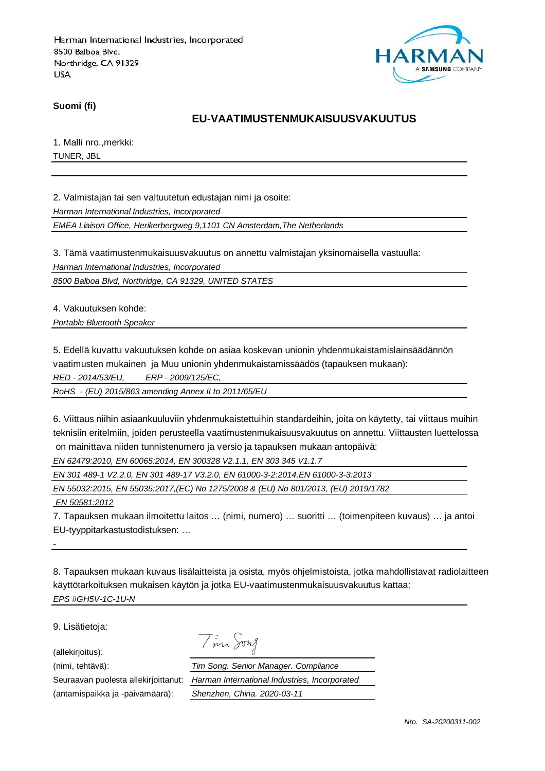

**Suomi (fi)**

### **EU-VAATIMUSTENMUKAISUUSVAKUUTUS**

1. Malli nro.,merkki: TUNER, JBL

2. Valmistajan tai sen valtuutetun edustajan nimi ja osoite:

Harman International Industries, Incorporated

EMEA Liaison Office, Herikerbergweg 9,1101 CN Amsterdam,The Netherlands

3. Tämä vaatimustenmukaisuusvakuutus on annettu valmistajan yksinomaisella vastuulla:

Harman International Industries, Incorporated

8500 Balboa Blvd, Northridge, CA 91329, UNITED STATES

4. Vakuutuksen kohde:

Portable Bluetooth Speaker

5. Edellä kuvattu vakuutuksen kohde on asiaa koskevan unionin yhdenmukaistamislainsäädännön

vaatimusten mukainen ja Muu unionin yhdenmukaistamissäädös (tapauksen mukaan):

RED - 2014/53/EU, ERP - 2009/125/EC,

RoHS - (EU) 2015/863 amending Annex II to 2011/65/EU

6. Viittaus niihin asiaankuuluviin yhdenmukaistettuihin standardeihin, joita on käytetty, tai viittaus muihin teknisiin eritelmiin, joiden perusteella vaatimustenmukaisuusvakuutus on annettu. Viittausten luettelossa on mainittava niiden tunnistenumero ja versio ja tapauksen mukaan antopäivä:

EN 62479:2010, EN 60065:2014, EN 300328 V2.1.1, EN 303 345 V1.1.7

EN 301 489-1 V2.2.0, EN 301 489-17 V3.2.0, EN 61000-3-2:2014,EN 61000-3-3:2013

EN 55032:2015, EN 55035:2017,(EC) No 1275/2008 & (EU) No 801/2013, (EU) 2019/1782

EN 50581:2012

-

7. Tapauksen mukaan ilmoitettu laitos … (nimi, numero) … suoritti … (toimenpiteen kuvaus) … ja antoi EU-tyyppitarkastustodistuksen: …

8. Tapauksen mukaan kuvaus lisälaitteista ja osista, myös ohjelmistoista, jotka mahdollistavat radiolaitteen käyttötarkoituksen mukaisen käytön ja jotka EU-vaatimustenmukaisuusvakuutus kattaa: EPS #GH5V-1C-1U-N

9. Lisätietoja:

(allekirjoitus):

(antamispaikka ja -päivämäärä): Shenzhen, China. 2020-03-11

Tim Song

(nimi, tehtävä): Tim Song. Senior Manager. Compliance Seuraavan puolesta allekirjoittanut: Harman International Industries, Incorporated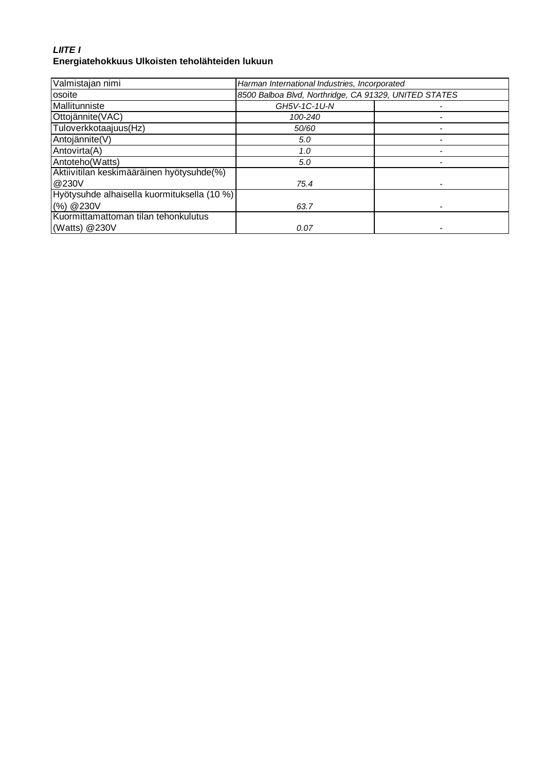# **LIITE I Energiatehokkuus Ulkoisten teholähteiden lukuun**

| Valmistajan nimi                            | Harman International Industries, Incorporated         |  |
|---------------------------------------------|-------------------------------------------------------|--|
| osoite                                      | 8500 Balboa Blvd, Northridge, CA 91329, UNITED STATES |  |
| Mallitunniste                               | GH5V-1C-1U-N                                          |  |
| Ottojännite(VAC)                            | 100-240                                               |  |
| Tuloverkkotaajuus(Hz)                       | 50/60                                                 |  |
| Antojännite(V)                              | 5.0                                                   |  |
| Antovirta(A)                                | 1.0                                                   |  |
| Antoteho(Watts)                             | 5.0                                                   |  |
| Aktiivitilan keskimääräinen hyötysuhde(%)   |                                                       |  |
| @230V                                       | 75.4                                                  |  |
| Hyötysuhde alhaisella kuormituksella (10 %) |                                                       |  |
| (%) @ 230V                                  | 63.7                                                  |  |
| Kuormittamattoman tilan tehonkulutus        |                                                       |  |
| (Watts) $@230V$                             | 0.07                                                  |  |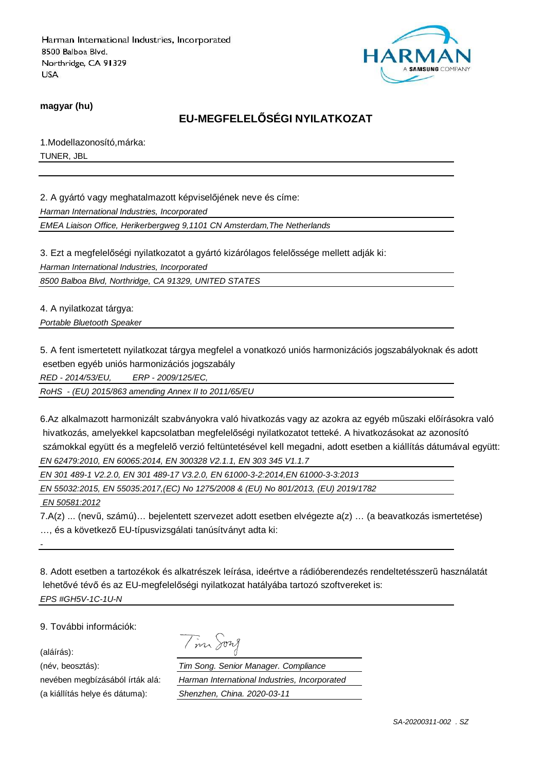

**magyar (hu)**

# **EU-MEGFELELŐSÉGI NYILATKOZAT**

1.Modellazonosító,márka: TUNER, JBL

2. A gyártó vagy meghatalmazott képviselőjének neve és címe:

Harman International Industries, Incorporated

EMEA Liaison Office, Herikerbergweg 9,1101 CN Amsterdam,The Netherlands

3. Ezt a megfelelőségi nyilatkozatot a gyártó kizárólagos felelőssége mellett adják ki:

Harman International Industries, Incorporated

8500 Balboa Blvd, Northridge, CA 91329, UNITED STATES

4. A nyilatkozat tárgya:

Portable Bluetooth Speaker

5. A fent ismertetett nyilatkozat tárgya megfelel a vonatkozó uniós harmonizációs jogszabályoknak és adott esetben egyéb uniós harmonizációs jogszabály

RED - 2014/53/EU, ERP - 2009/125/EC,

RoHS - (EU) 2015/863 amending Annex II to 2011/65/EU

6.Az alkalmazott harmonizált szabványokra való hivatkozás vagy az azokra az egyéb műszaki előírásokra való hivatkozás, amelyekkel kapcsolatban megfelelőségi nyilatkozatot tetteké. A hivatkozásokat az azonosító számokkal együtt és a megfelelő verzió feltüntetésével kell megadni, adott esetben a kiállítás dátumával együtt: EN 62479:2010, EN 60065:2014, EN 300328 V2.1.1, EN 303 345 V1.1.7

EN 301 489-1 V2.2.0, EN 301 489-17 V3.2.0, EN 61000-3-2:2014,EN 61000-3-3:2013

EN 55032:2015, EN 55035:2017,(EC) No 1275/2008 & (EU) No 801/2013, (EU) 2019/1782

EN 50581:2012

7.A(z) ... (nevű, számú)… bejelentett szervezet adott esetben elvégezte a(z) … (a beavatkozás ismertetése) …, és a következő EU-típusvizsgálati tanúsítványt adta ki:

8. Adott esetben a tartozékok és alkatrészek leírása, ideértve a rádióberendezés rendeltetésszerű használatát lehetővé tévő és az EU-megfelelőségi nyilatkozat hatályába tartozó szoftvereket is: EPS #GH5V-1C-1U-N

9. További információk:

(aláírás):

-

(név, beosztás):

nevében megbízásából írták alá: (a kiállítás helye és dátuma):

| Tim Song                                      |
|-----------------------------------------------|
| Tim Song. Senior Manager. Compliance          |
| Harman International Industries, Incorporated |
| Shenzhen, China. 2020-03-11                   |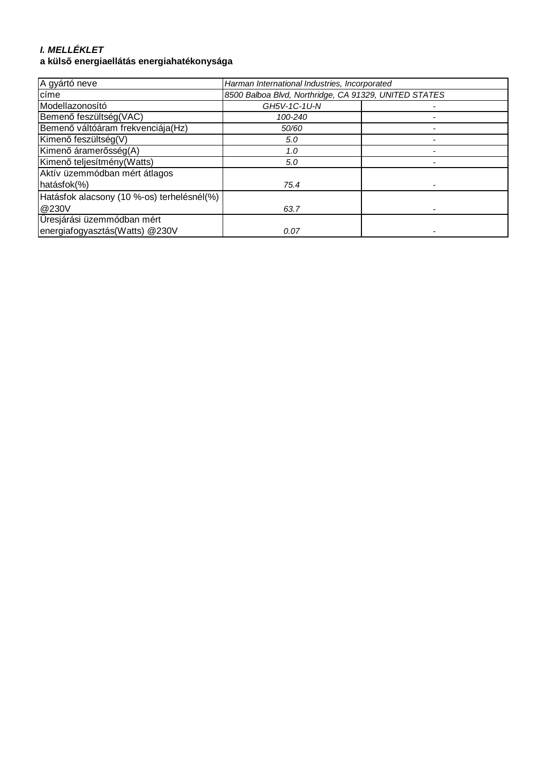# **I. MELLÉKLET**

# **a külső energiaellátás energiahatékonysága**

| A gyártó neve                              | Harman International Industries, Incorporated         |  |
|--------------------------------------------|-------------------------------------------------------|--|
| címe                                       | 8500 Balboa Blvd, Northridge, CA 91329, UNITED STATES |  |
| Modellazonosító                            | GH5V-1C-1U-N                                          |  |
| Bemenő feszültség(VAC)                     | 100-240                                               |  |
| Bemenő váltóáram frekvenciája(Hz)          | 50/60                                                 |  |
| Kimenő feszültség(V)                       | 5.0                                                   |  |
| Kimenő áramerősség(A)                      | 1.0                                                   |  |
| Kimenő teljesítmény (Watts)                | 5.0                                                   |  |
| Aktív üzemmódban mért átlagos              |                                                       |  |
| hatásfok(%)                                | 75.4                                                  |  |
| Hatásfok alacsony (10 %-os) terhelésnél(%) |                                                       |  |
| @230V                                      | 63.7                                                  |  |
| Üresjárási üzemmódban mért                 |                                                       |  |
| energiafogyasztás(Watts) @230V             | 0.07                                                  |  |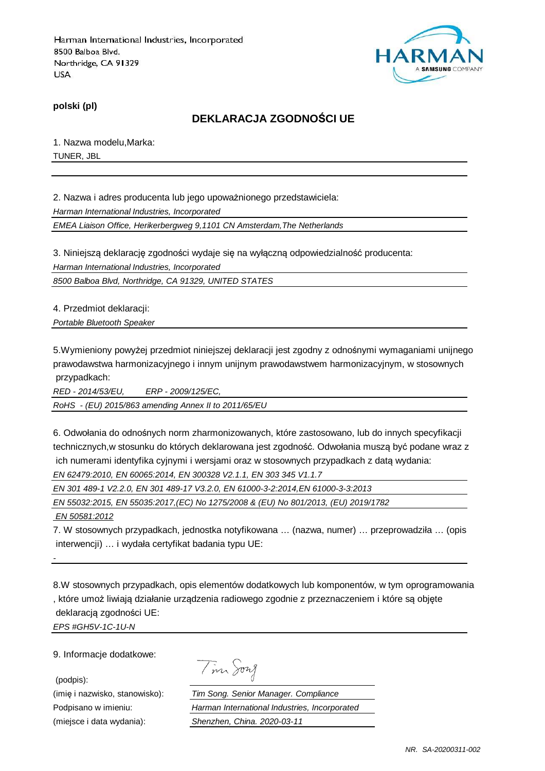

**polski (pl)**

# **DEKLARACJA ZGODNOŚCI UE**

1. Nazwa modelu,Marka: TUNER, JBL

2. Nazwa i adres producenta lub jego upoważnionego przedstawiciela: Harman International Industries, Incorporated

EMEA Liaison Office, Herikerbergweg 9,1101 CN Amsterdam,The Netherlands

3. Niniejszą deklarację zgodności wydaje się na wyłączną odpowiedzialność producenta: Harman International Industries, Incorporated

8500 Balboa Blvd, Northridge, CA 91329, UNITED STATES

4. Przedmiot deklaracji:

Portable Bluetooth Speaker

5.Wymieniony powyżej przedmiot niniejszej deklaracji jest zgodny z odnośnymi wymaganiami unijnego prawodawstwa harmonizacyjnego i innym unijnym prawodawstwem harmonizacyjnym, w stosownych przypadkach:

RED - 2014/53/EU, ERP - 2009/125/EC,

RoHS - (EU) 2015/863 amending Annex II to 2011/65/EU

6. Odwołania do odnośnych norm zharmonizowanych, które zastosowano, lub do innych specyfikacji technicznych,w stosunku do których deklarowana jest zgodność. Odwołania muszą być podane wraz z ich numerami identyfika cyjnymi i wersjami oraz w stosownych przypadkach z datą wydania: EN 62479:2010, EN 60065:2014, EN 300328 V2.1.1, EN 303 345 V1.1.7

EN 301 489-1 V2.2.0, EN 301 489-17 V3.2.0, EN 61000-3-2:2014,EN 61000-3-3:2013 EN 55032:2015, EN 55035:2017,(EC) No 1275/2008 & (EU) No 801/2013, (EU) 2019/1782 EN 50581:2012

7. W stosownych przypadkach, jednostka notyfikowana … (nazwa, numer) … przeprowadziła … (opis interwencji) … i wydała certyfikat badania typu UE:

8.W stosownych przypadkach, opis elementów dodatkowych lub komponentów, w tym oprogramowania , które umoż liwiają działanie urządzenia radiowego zgodnie z przeznaczeniem i które są objęte deklaracją zgodności UE: EPS #GH5V-1C-1U-N

9. Informacje dodatkowe:

-

(podpis):

Tim Song

(imię i nazwisko, stanowisko): Tim Song. Senior Manager. Compliance Podpisano w imieniu: Harman International Industries, Incorporated (miejsce i data wydania): Shenzhen, China. 2020-03-11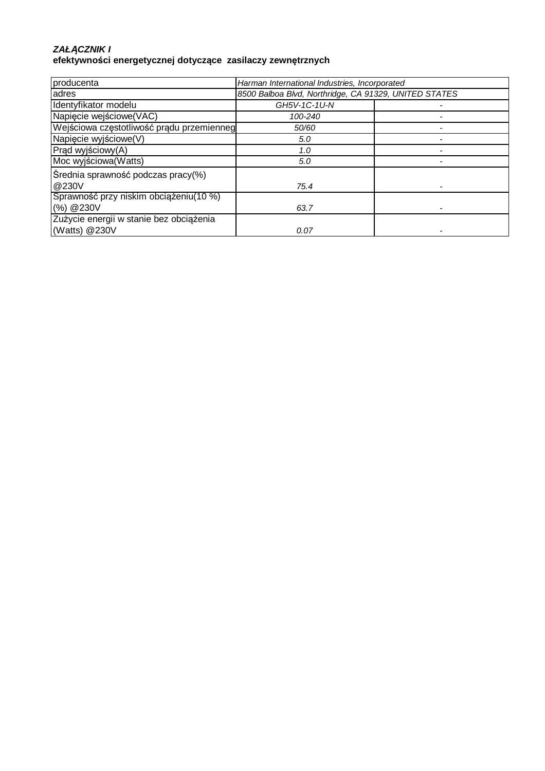#### **ZAŁ***Ą***CZNIK I efektywności energetycznej dotyczące zasilaczy zewnętrznych**

| producenta                                | Harman International Industries, Incorporated         |  |
|-------------------------------------------|-------------------------------------------------------|--|
| adres                                     | 8500 Balboa Blvd, Northridge, CA 91329, UNITED STATES |  |
| Identyfikator modelu                      | GH5V-1C-1U-N                                          |  |
| Napiecie wejściowe(VAC)                   | 100-240                                               |  |
| Wejściowa częstotliwość prądu przemienneg | 50/60                                                 |  |
| Napięcie wyjściowe(V)                     | 5.0                                                   |  |
| Prąd wyjściowy(A)                         | 1.0                                                   |  |
| Moc wyjściowa (Watts)                     | 5.0                                                   |  |
| Średnia sprawność podczas pracy(%)        |                                                       |  |
| @230V                                     | 75.4                                                  |  |
| Sprawność przy niskim obciążeniu(10 %)    |                                                       |  |
| (%) @ 230V                                | 63.7                                                  |  |
| Zużycie energii w stanie bez obciążenia   |                                                       |  |
| (Watts) @230V                             | 0.07                                                  |  |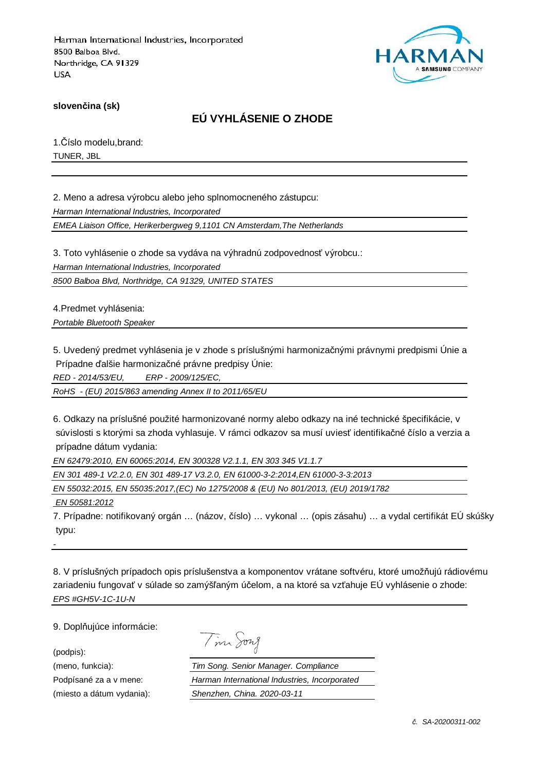

**slovenčina (sk)**

# **EÚ VYHLÁSENIE O ZHODE**

1.Číslo modelu,brand: TUNER, JBL

2. Meno a adresa výrobcu alebo jeho splnomocneného zástupcu: Harman International Industries, Incorporated

EMEA Liaison Office, Herikerbergweg 9,1101 CN Amsterdam,The Netherlands

3. Toto vyhlásenie o zhode sa vydáva na výhradnú zodpovednosť výrobcu.:

Harman International Industries, Incorporated

8500 Balboa Blvd, Northridge, CA 91329, UNITED STATES

4.Predmet vyhlásenia: Portable Bluetooth Speaker

5. Uvedený predmet vyhlásenia je v zhode s príslušnými harmonizačnými právnymi predpismi Únie a

Prípadne ďalšie harmonizačné právne predpisy Únie:

RED - 2014/53/EU, ERP - 2009/125/EC,

RoHS - (EU) 2015/863 amending Annex II to 2011/65/EU

6. Odkazy na príslušné použité harmonizované normy alebo odkazy na iné technické špecifikácie, v súvislosti s ktorými sa zhoda vyhlasuje. V rámci odkazov sa musí uviesť identifikačné číslo a verzia a prípadne dátum vydania:

EN 62479:2010, EN 60065:2014, EN 300328 V2.1.1, EN 303 345 V1.1.7

EN 301 489-1 V2.2.0, EN 301 489-17 V3.2.0, EN 61000-3-2:2014,EN 61000-3-3:2013

EN 55032:2015, EN 55035:2017,(EC) No 1275/2008 & (EU) No 801/2013, (EU) 2019/1782

EN 50581:2012

7. Prípadne: notifikovaný orgán … (názov, číslo) … vykonal … (opis zásahu) … a vydal certifikát EÚ skúšky typu:

8. V príslušných prípadoch opis príslušenstva a komponentov vrátane softvéru, ktoré umožňujú rádiovému zariadeniu fungovať v súlade so zamýšľaným účelom, a na ktoré sa vzťahuje EÚ vyhlásenie o zhode: EPS #GH5V-1C-1U-N

9. Doplňujúce informácie:

(podpis):

-

| $\overline{\phantom{0}}$<br>$\lambda$ | vng<br>△ |
|---------------------------------------|----------|
|                                       |          |

(meno, funkcia): Tim Song. Senior Manager. Compliance Podpísané za a v mene: Harman International Industries, Incorporated (miesto a dátum vydania): Shenzhen, China. 2020-03-11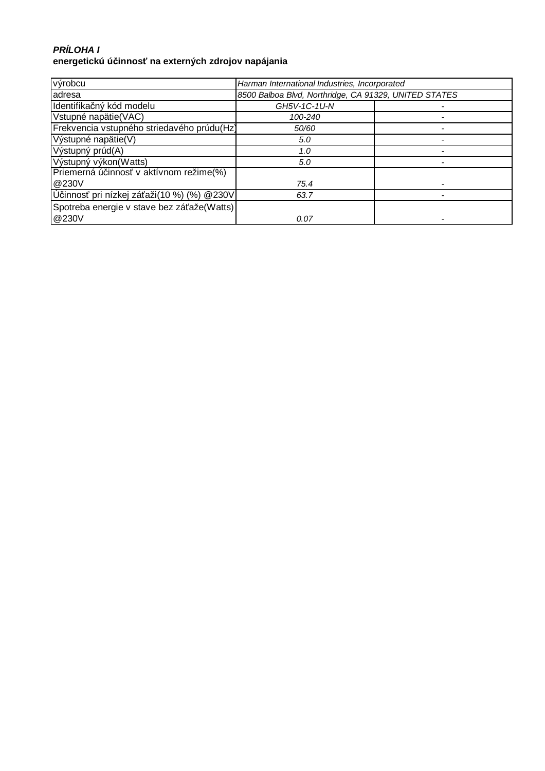### **PRÍLOHA I energetickú účinnosť na externých zdrojov napájania**

| výrobcu                                    | Harman International Industries, Incorporated         |  |
|--------------------------------------------|-------------------------------------------------------|--|
| adresa                                     | 8500 Balboa Blvd, Northridge, CA 91329, UNITED STATES |  |
| Identifikačný kód modelu                   | GH5V-1C-1U-N                                          |  |
| Vstupné napätie(VAC)                       | 100-240                                               |  |
| Frekvencia vstupného striedavého prúdu(Hz) | 50/60                                                 |  |
| Výstupné napätie(V)                        | 5.0                                                   |  |
| Výstupný prúd(A)                           | 1.0                                                   |  |
| Výstupný výkon(Watts)                      | 5.0                                                   |  |
| Priemerná účinnosť v aktívnom režime(%)    |                                                       |  |
| @230V                                      | 75.4                                                  |  |
| Účinnosť pri nízkej záťaži(10 %) (%) @230V | 63.7                                                  |  |
| Spotreba energie v stave bez záťaže(Watts) |                                                       |  |
| @230V                                      | 0.07                                                  |  |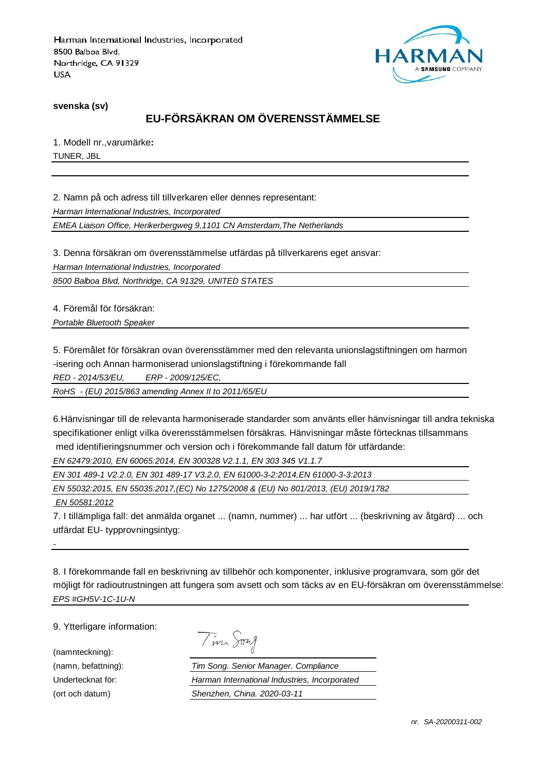

**svenska (sv)**

# **EU-FÖRSÄKRAN OM ÖVERENSSTÄMMELSE**

1. Modell nr.,varumärke**:** TUNER, JBL

2. Namn på och adress till tillverkaren eller dennes representant:

Harman International Industries, Incorporated

EMEA Liaison Office, Herikerbergweg 9,1101 CN Amsterdam,The Netherlands

3. Denna försäkran om överensstämmelse utfärdas på tillverkarens eget ansvar:

Harman International Industries, Incorporated

8500 Balboa Blvd, Northridge, CA 91329, UNITED STATES

4. Föremål för försäkran: Portable Bluetooth Speaker

5. Föremålet för försäkran ovan överensstämmer med den relevanta unionslagstiftningen om harmon

-isering och Annan harmoniserad unionslagstiftning i förekommande fall

RED - 2014/53/EU, ERP - 2009/125/EC,

RoHS - (EU) 2015/863 amending Annex II to 2011/65/EU

6.Hänvisningar till de relevanta harmoniserade standarder som använts eller hänvisningar till andra tekniska specifikationer enligt vilka överensstämmelsen försäkras. Hänvisningar måste förtecknas tillsammans

med identifieringsnummer och version och i förekommande fall datum för utfärdande:

EN 62479:2010, EN 60065:2014, EN 300328 V2.1.1, EN 303 345 V1.1.7

EN 301 489-1 V2.2.0, EN 301 489-17 V3.2.0, EN 61000-3-2:2014,EN 61000-3-3:2013

EN 55032:2015, EN 55035:2017,(EC) No 1275/2008 & (EU) No 801/2013, (EU) 2019/1782

EN 50581:2012

-

7. I tillämpliga fall: det anmälda organet ... (namn, nummer) ... har utfört ... (beskrivning av åtgärd) ... och utfärdat EU- typprovningsintyg:

8. I förekommande fall en beskrivning av tillbehör och komponenter, inklusive programvara, som gör det möjligt för radioutrustningen att fungera som avsett och som täcks av en EU-försäkran om överensstämmelse: EPS #GH5V-1C-1U-N

9. Ytterligare information:

(namnteckning):

Tim Song

(namn, befattning): Tim Song. Senior Manager. Compliance Undertecknat för: Harman International Industries, Incorporated (ort och datum) Shenzhen, China. 2020-03-11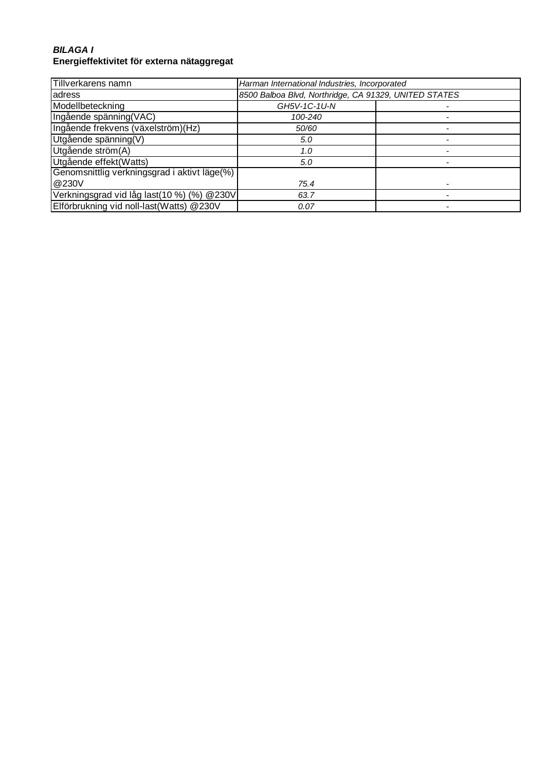### **BILAGA I Energieffektivitet för externa nätaggregat**

| Tillverkarens namn                           | Harman International Industries, Incorporated         |  |
|----------------------------------------------|-------------------------------------------------------|--|
| adress                                       | 8500 Balboa Blvd, Northridge, CA 91329, UNITED STATES |  |
| Modellbeteckning                             | GH5V-1C-1U-N                                          |  |
| Ingående spänning(VAC)                       | 100-240                                               |  |
| Ingående frekvens (växelström)(Hz)           | 50/60                                                 |  |
| Utgående spänning(V)                         | 5.0                                                   |  |
| Utgående ström(A)                            | 1.0                                                   |  |
| Utgående effekt(Watts)                       | 5.0                                                   |  |
| Genomsnittlig verkningsgrad i aktivt läge(%) |                                                       |  |
| @230V                                        | 75.4                                                  |  |
| Verkningsgrad vid låg last(10 %) (%) @230V   | 63.7                                                  |  |
| Elförbrukning vid noll-last(Watts) @230V     | 0.07                                                  |  |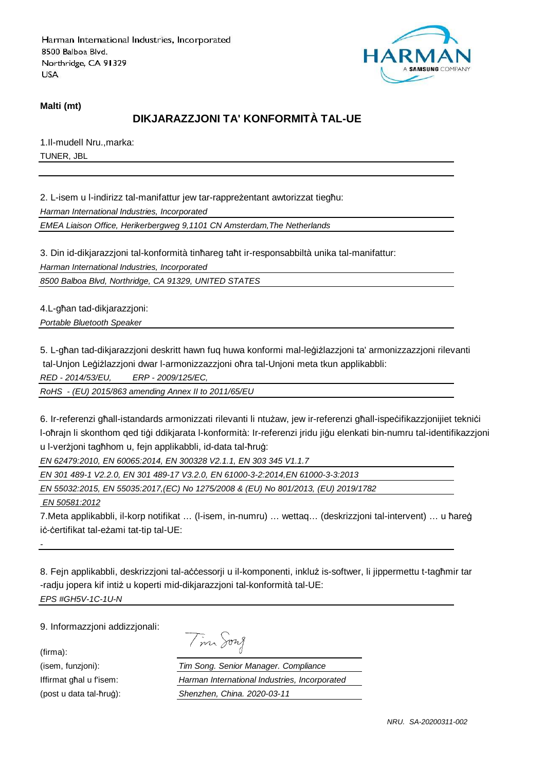

#### **Malti (mt)**

# **DIKJARAZZJONI TA' KONFORMITÀ TAL-UE**

1.Il-mudell Nru.,marka: TUNER, JBL

2. L-isem u l-indirizz tal-manifattur jew tar-rappreżentant awtorizzat tiegħu:

Harman International Industries, Incorporated

EMEA Liaison Office, Herikerbergweg 9,1101 CN Amsterdam,The Netherlands

3. Din id-dikjarazzjoni tal-konformità tinħareg taħt ir-responsabbiltà unika tal-manifattur:

Harman International Industries, Incorporated

8500 Balboa Blvd, Northridge, CA 91329, UNITED STATES

4.L-għan tad-dikjarazzjoni: Portable Bluetooth Speaker

5. L-għan tad-dikjarazzjoni deskritt hawn fuq huwa konformi mal-leġiżlazzjoni ta' armonizzazzjoni rilevanti tal-Unjon Leġiżlazzjoni dwar l-armonizzazzjoni oħra tal-Unjoni meta tkun applikabbli:

RED - 2014/53/EU, ERP - 2009/125/EC,

RoHS - (EU) 2015/863 amending Annex II to 2011/65/EU

6. Ir-referenzi għall-istandards armonizzati rilevanti li ntużaw, jew ir-referenzi għall-ispeċifikazzjonijiet tekniċi l-oħrajn li skonthom qed tiġi ddikjarata l-konformità: Ir-referenzi jridu jiġu elenkati bin-numru tal-identifikazzjoni u l-verżjoni tagħhom u, fejn applikabbli, id-data tal-ħruġ:

EN 62479:2010, EN 60065:2014, EN 300328 V2.1.1, EN 303 345 V1.1.7

EN 301 489-1 V2.2.0, EN 301 489-17 V3.2.0, EN 61000-3-2:2014,EN 61000-3-3:2013

EN 55032:2015, EN 55035:2017,(EC) No 1275/2008 & (EU) No 801/2013, (EU) 2019/1782

EN 50581:2012

7.Meta applikabbli, il-korp notifikat … (l-isem, in-numru) … wettaq… (deskrizzjoni tal-intervent) … u ħareġ iċ-ċertifikat tal-eżami tat-tip tal-UE:

8. Fejn applikabbli, deskrizzjoni tal-aċċessorji u il-komponenti, inkluż is-softwer, li jippermettu t-tagħmir tar -radju jopera kif intiż u koperti mid-dikjarazzjoni tal-konformità tal-UE: EPS #GH5V-1C-1U-N

9. Informazzjoni addizzjonali:

(firma):

-

Tim Song

(isem, funzjoni): Tim Song. Senior Manager. Compliance Iffirmat għal u f'isem: Harman International Industries, Incorporated (post u data tal-ħruġ): Shenzhen, China. 2020-03-11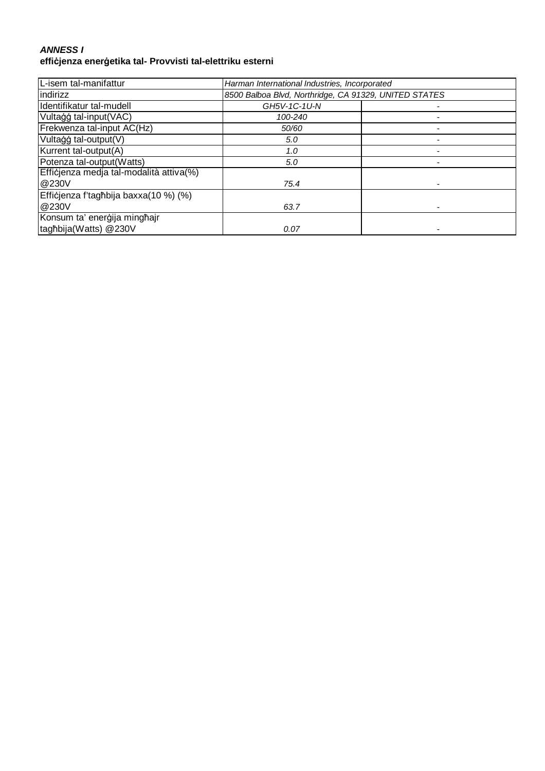#### **ANNESS I effiċjenza enerġetika tal- Provvisti tal-elettriku esterni**

| L-isem tal-manifattur                   | Harman International Industries, Incorporated         |  |
|-----------------------------------------|-------------------------------------------------------|--|
| indirizz                                | 8500 Balboa Blvd, Northridge, CA 91329, UNITED STATES |  |
| Identifikatur tal-mudell                | GH5V-1C-1U-N                                          |  |
| Vultaģģ tal-input(VAC)                  | 100-240                                               |  |
| Frekwenza tal-input AC(Hz)              | 50/60                                                 |  |
| Vultagg tal-output(V)                   | 5.0                                                   |  |
| Kurrent tal-output(A)                   | 1.0                                                   |  |
| Potenza tal-output(Watts)               | 5.0                                                   |  |
| Efficjenza medja tal-modalità attiva(%) |                                                       |  |
| @230V                                   | 75.4                                                  |  |
| Efficjenza f'tagħbija baxxa(10 %) (%)   |                                                       |  |
| @230V                                   | 63.7                                                  |  |
| Konsum ta' enerģija minghajr            |                                                       |  |
| taghbija(Watts) @230V                   | 0.07                                                  |  |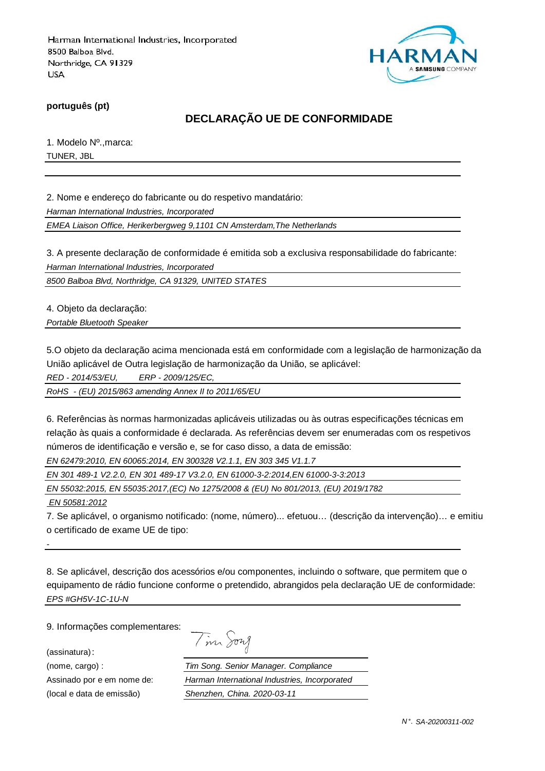

**português (pt)**

# **DECLARAÇÃO UE DE CONFORMIDADE**

1. Modelo Nº.,marca: TUNER, JBL

2. Nome e endereço do fabricante ou do respetivo mandatário:

Harman International Industries, Incorporated

EMEA Liaison Office, Herikerbergweg 9,1101 CN Amsterdam,The Netherlands

3. A presente declaração de conformidade é emitida sob a exclusiva responsabilidade do fabricante: Harman International Industries, Incorporated

8500 Balboa Blvd, Northridge, CA 91329, UNITED STATES

4. Objeto da declaração:

Portable Bluetooth Speaker

5.O objeto da declaração acima mencionada está em conformidade com a legislação de harmonização da União aplicável de Outra legislação de harmonização da União, se aplicável:

RED - 2014/53/EU, ERP - 2009/125/EC,

RoHS - (EU) 2015/863 amending Annex II to 2011/65/EU

6. Referências às normas harmonizadas aplicáveis utilizadas ou às outras especificações técnicas em relação às quais a conformidade é declarada. As referências devem ser enumeradas com os respetivos números de identificação e versão e, se for caso disso, a data de emissão:

EN 62479:2010, EN 60065:2014, EN 300328 V2.1.1, EN 303 345 V1.1.7

EN 301 489-1 V2.2.0, EN 301 489-17 V3.2.0, EN 61000-3-2:2014,EN 61000-3-3:2013

EN 55032:2015, EN 55035:2017,(EC) No 1275/2008 & (EU) No 801/2013, (EU) 2019/1782

EN 50581:2012

-

7. Se aplicável, o organismo notificado: (nome, número)... efetuou… (descrição da intervenção)… e emitiu o certificado de exame UE de tipo:

8. Se aplicável, descrição dos acessórios e/ou componentes, incluindo o software, que permitem que o equipamento de rádio funcione conforme o pretendido, abrangidos pela declaração UE de conformidade: EPS #GH5V-1C-1U-N

9. Informações complementares:

(assinatura):

| 1927<br>$\mathcal{L}$ |
|-----------------------|
|-----------------------|

(nome, cargo) : Tim Song. Senior Manager. Compliance Assinado por e em nome de: Harman International Industries, Incorporated (local e data de emissão) Shenzhen, China. 2020-03-11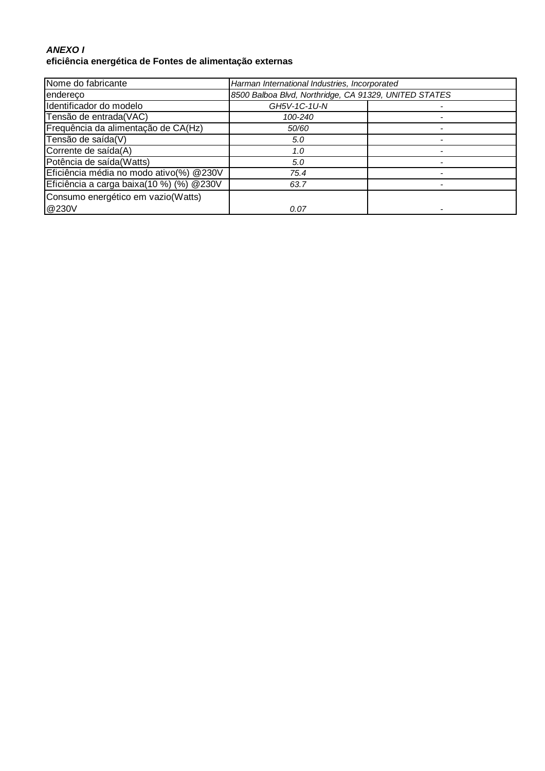### **ANEXO I eficiência energética de Fontes de alimentação externas**

| Nome do fabricante                        | Harman International Industries, Incorporated         |  |
|-------------------------------------------|-------------------------------------------------------|--|
| endereco                                  | 8500 Balboa Blvd, Northridge, CA 91329, UNITED STATES |  |
| Identificador do modelo                   | GH5V-1C-1U-N                                          |  |
| Tensão de entrada(VAC)                    | 100-240                                               |  |
| Frequência da alimentação de CA(Hz)       | 50/60                                                 |  |
| Tensão de saída(V)                        | 5.0                                                   |  |
| Corrente de saída(A)                      | 1.0                                                   |  |
| Potência de saída(Watts)                  | 5.0                                                   |  |
| Eficiência média no modo ativo(%) @230V   | 75.4                                                  |  |
| Eficiência a carga baixa(10 %) (%) @ 230V | 63.7                                                  |  |
| Consumo energético em vazio(Watts)        |                                                       |  |
| @230V                                     | 0.07                                                  |  |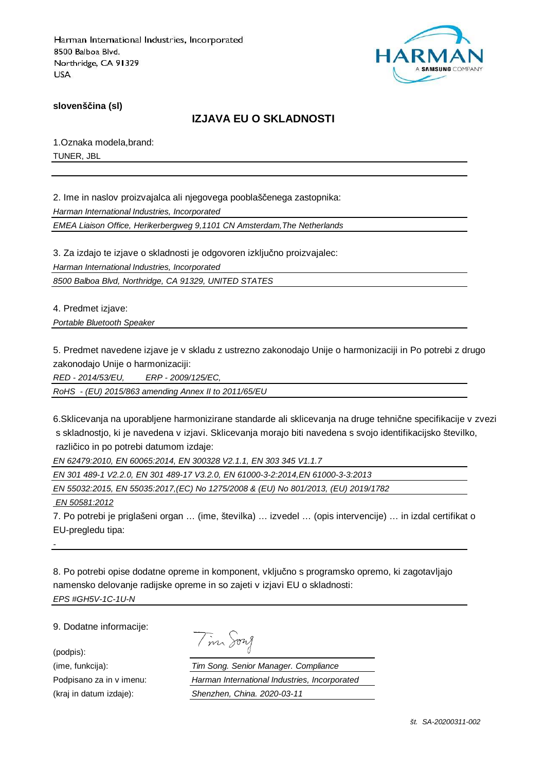

**slovenščina (sl)**

# **IZJAVA EU O SKLADNOSTI**

1.Oznaka modela,brand: TUNER, JBL

2. Ime in naslov proizvajalca ali njegovega pooblaščenega zastopnika: Harman International Industries, Incorporated

EMEA Liaison Office, Herikerbergweg 9,1101 CN Amsterdam,The Netherlands

3. Za izdajo te izjave o skladnosti je odgovoren izključno proizvajalec: Harman International Industries, Incorporated

8500 Balboa Blvd, Northridge, CA 91329, UNITED STATES

4. Predmet izjave: Portable Bluetooth Speaker

5. Predmet navedene izjave je v skladu z ustrezno zakonodajo Unije o harmonizaciji in Po potrebi z drugo zakonodajo Unije o harmonizaciji:

RED - 2014/53/EU, ERP - 2009/125/EC,

RoHS - (EU) 2015/863 amending Annex II to 2011/65/EU

6.Sklicevanja na uporabljene harmonizirane standarde ali sklicevanja na druge tehnične specifikacije v zvezi s skladnostjo, ki je navedena v izjavi. Sklicevanja morajo biti navedena s svojo identifikacijsko številko, različico in po potrebi datumom izdaje:

EN 62479:2010, EN 60065:2014, EN 300328 V2.1.1, EN 303 345 V1.1.7

EN 301 489-1 V2.2.0, EN 301 489-17 V3.2.0, EN 61000-3-2:2014,EN 61000-3-3:2013

EN 55032:2015, EN 55035:2017,(EC) No 1275/2008 & (EU) No 801/2013, (EU) 2019/1782

EN 50581:2012

7. Po potrebi je priglašeni organ … (ime, številka) … izvedel … (opis intervencije) … in izdal certifikat o EU-pregledu tipa:

8. Po potrebi opise dodatne opreme in komponent, vključno s programsko opremo, ki zagotavljajo namensko delovanje radijske opreme in so zajeti v izjavi EU o skladnosti: EPS #GH5V-1C-1U-N

9. Dodatne informacije:

(podpis):

-

Tim Song

(ime, funkcija): Tim Song. Senior Manager. Compliance Podpisano za in v imenu: Harman International Industries, Incorporated (kraj in datum izdaje): Shenzhen, China. 2020-03-11